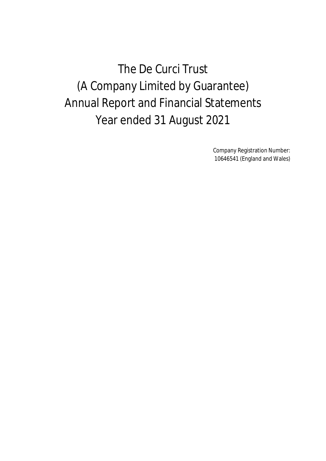The De Curci Trust (A Company Limited by Guarantee) Annual Report and Financial Statements Year ended 31 August 2021

> Company Registration Number: 10646541 (England and Wales)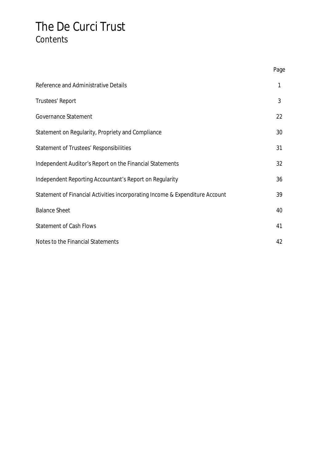## The De Curci Trust **Contents**

|                                                                              | Page |
|------------------------------------------------------------------------------|------|
| Reference and Administrative Details                                         | 1    |
| Trustees' Report                                                             | 3    |
| Governance Statement                                                         | 22   |
| Statement on Regularity, Propriety and Compliance                            | 30   |
| Statement of Trustees' Responsibilities                                      | 31   |
| Independent Auditor's Report on the Financial Statements                     | 32   |
| Independent Reporting Accountant's Report on Regularity                      | 36   |
| Statement of Financial Activities incorporating Income & Expenditure Account | 39   |
| <b>Balance Sheet</b>                                                         | 40   |
| <b>Statement of Cash Flows</b>                                               | 41   |
| Notes to the Financial Statements                                            | 42   |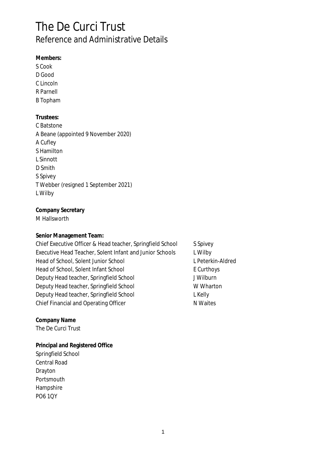## The De Curci Trust Reference and Administrative Details

**Members:** S Cook D Good C Lincoln R Parnell B Topham **Trustees:** C Batstone A Beane (appointed 9 November 2020) A Cufley S Hamilton L Sinnott D Smith S Spivey T Webber (resigned 1 September 2021) L Wilby

**Company Secretary** M Hallsworth

**Senior Management Team:**

Chief Executive Officer & Head teacher, Springfield School S Spivey Executive Head Teacher, Solent Infant and Junior Schools L Wilby Head of School, Solent Junior School Lease Lease Letterkin-Aldred Head of School, Solent Infant School Equation E Curthoys Deputy Head teacher, Springfield School JWilburn Deputy Head teacher, Springfield School WWharton Deputy Head teacher, Springfield School Changes and L Kelly Chief Financial and Operating Officer National Assembly National American National Assembly

**Company Name** The De Curci Trust

**Principal and Registered Office** Springfield School Central Road Drayton **Portsmouth** Hampshire PO6 1QY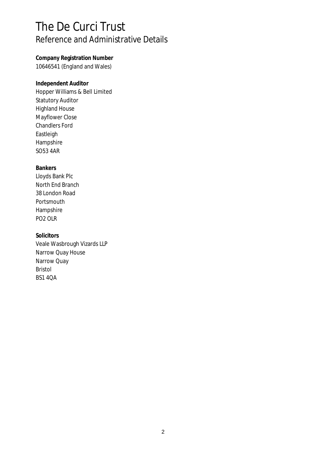## The De Curci Trust Reference and Administrative Details

**Company Registration Number** 10646541 (England and Wales)

**Independent Auditor** Hopper Williams & Bell Limited Statutory Auditor Highland House Mayflower Close Chandlers Ford Eastleigh Hampshire SO53 4AR

**Bankers** Lloyds Bank Plc North End Branch 38 London Road Portsmouth Hampshire PO2 OLR

**Solicitors** Veale Wasbrough Vizards LLP Narrow Quay House Narrow Quay Bristol BS1 4QA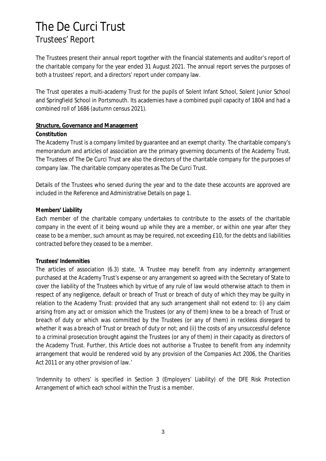The Trustees present their annual report together with the financial statements and auditor's report of the charitable company for the year ended 31 August 2021. The annual report serves the purposes of both a trustees' report, and a directors' report under company law.

The Trust operates a multi-academy Trust for the pupils of Solent Infant School, Solent Junior School and Springfield School in Portsmouth. Its academies have a combined pupil capacity of 1804 and had a combined roll of 1686 (autumn census 2021).

### **Structure, Governance and Management**

### **Constitution**

The Academy Trust is a company limited by guarantee and an exempt charity. The charitable company's memorandum and articles of association are the primary governing documents of the Academy Trust. The Trustees of The De Curci Trust are also the directors of the charitable company for the purposes of company law. The charitable company operates as The De Curci Trust.

Details of the Trustees who served during the year and to the date these accounts are approved are included in the Reference and Administrative Details on page 1.

### **Members' Liability**

Each member of the charitable company undertakes to contribute to the assets of the charitable company in the event of it being wound up while they are a member, or within one year after they cease to be a member, such amount as may be required, not exceeding £10, for the debts and liabilities contracted before they ceased to be a member.

### **Trustees' Indemnities**

The articles of association (6.3) state, 'A Trustee may benefit from any indemnity arrangement purchased at the Academy Trust's expense or any arrangement so agreed with the Secretary of State to cover the liability of the Trustees which by virtue of any rule of law would otherwise attach to them in respect of any negligence, default or breach of Trust or breach of duty of which they may be guilty in relation to the Academy Trust: provided that any such arrangement shall not extend to: (i) any claim arising from any act or omission which the Trustees (or any of them) knew to be a breach of Trust or breach of duty or which was committed by the Trustees (or any of them) in reckless disregard to whether it was a breach of Trust or breach of duty or not; and (ii) the costs of any unsuccessful defence to a criminal prosecution brought against the Trustees (or any of them) in their capacity as directors of the Academy Trust. Further, this Article does not authorise a Trustee to benefit from any indemnity arrangement that would be rendered void by any provision of the Companies Act 2006, the Charities Act 2011 or any other provision of law.'

'Indemnity to others' is specified in Section 3 (Employers' Liability) of the DFE Risk Protection Arrangement of which each school within the Trust is a member.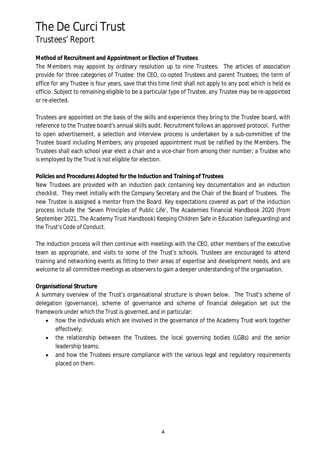### **Method of Recruitment and Appointment or Election of Trustees**

The Members may appoint by ordinary resolution up to nine Trustees. The articles of association provide for three categories of Trustee: the CEO, co-opted Trustees and parent Trustees; the term of office for any Trustee is four years, save that this time limit shall not apply to any post which is held ex officio. Subject to remaining eligible to be a particular type of Trustee, any Trustee may be re-appointed or re-elected.

Trustees are appointed on the basis of the skills and experience they bring to the Trustee board, with reference to the Trustee board's annual skills audit. Recruitment follows an approved protocol. Further to open advertisement, a selection and interview process is undertaken by a sub-committee of the Trustee board including Members; any proposed appointment must be ratified by the Members. The Trustees shall each school year elect a chair and a vice-chair from among their number; a Trustee who is employed by the Trust is not eligible for election.

### **Policies and Procedures Adopted for the Induction and Training of Trustees**

New Trustees are provided with an induction pack containing key documentation and an induction checklist. They meet initially with the Company Secretary and the Chair of the Board of Trustees. The new Trustee is assigned a mentor from the Board. Key expectations covered as part of the induction process include the 'Seven Principles of Public Life', The Academies Financial Handbook 2020 (from September 2021, The Academy Trust Handbook) Keeping Children Safe in Education (safeguarding) and the Trust's Code of Conduct.

The induction process will then continue with meetings with the CEO, other members of the executive team as appropriate, and visits to some of the Trust's schools. Trustees are encouraged to attend training and networking events as fitting to their areas of expertise and development needs, and are welcome to all committee meetings as observers to gain a deeper understanding of the organisation.

### **Organisational Structure**

A summary overview of the Trust's organisational structure is shown below. The Trust's scheme of delegation (governance), scheme of governance and scheme of financial delegation set out the framework under which the Trust is governed, and in particular:

- how the individuals which are involved in the governance of the Academy Trust work together  $\bullet$ effectively;
- the relationship between the Trustees, the local governing bodies (LGBs) and the senior leadership teams;
- and how the Trustees ensure compliance with the various legal and regulatory requirements  $\bullet$ placed on them.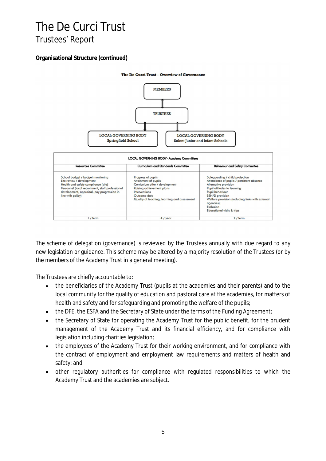### **Organisational Structure (continued)**



The scheme of delegation (governance) is reviewed by the Trustees annually with due regard to any new legislation or guidance. This scheme may be altered by a majority resolution of the Trustees (or by the members of the Academy Trust in a general meeting).

The Trustees are chiefly accountable to:

- the beneficiaries of the Academy Trust (pupils at the academies and their parents) and to the  $\bullet$ local community for the quality of education and pastoral care at the academies, for matters of health and safety and for safeguarding and promoting the welfare of the pupils;
- the DFE, the ESFA and the Secretary of State under the terms of the Funding Agreement;  $\bullet$
- the Secretary of State for operating the Academy Trust for the public benefit, for the prudent  $\bullet$ management of the Academy Trust and its financial efficiency, and for compliance with legislation including charities legislation;
- the employees of the Academy Trust for their working environment, and for compliance with  $\bullet$ the contract of employment and employment law requirements and matters of health and safety; and
- other regulatory authorities for compliance with regulated responsibilities to which the  $\bullet$ Academy Trust and the academies are subject.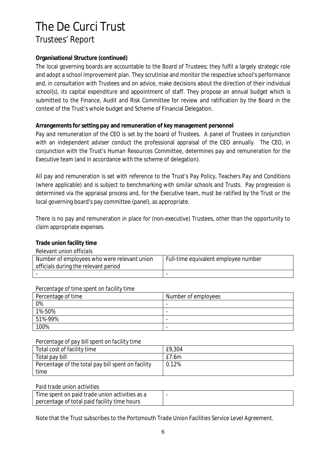### **Organisational Structure (continued)**

The local governing boards are accountable to the Board of Trustees; they fulfil a largely strategic role and adopt a school improvement plan. They scrutinise and monitor the respective school's performance and, in consultation with Trustees and on advice, make decisions about the direction of their individual school(s), its capital expenditure and appointment of staff. They propose an annual budget which is submitted to the Finance, Audit and Risk Committee for review and ratification by the Board in the context of the Trust's whole budget and Scheme of Financial Delegation.

### **Arrangements for setting pay and remuneration of key management personnel**

Pay and remuneration of the CEO is set by the board of Trustees. A panel of Trustees in conjunction with an independent adviser conduct the professional appraisal of the CEO annually. The CEO, in conjunction with the Trust's Human Resources Committee, determines pay and remuneration for the Executive team (and in accordance with the scheme of delegation).

All pay and remuneration is set with reference to the Trust's Pay Policy, Teachers Pay and Conditions (where applicable) and is subject to benchmarking with similar schools and Trusts. Pay progression is determined via the appraisal process and, for the Executive team, must be ratified by the Trust or the local governing board's pay committee (panel), as appropriate.

There is no pay and remuneration in place for (non-executive) Trustees, other than the opportunity to claim appropriate expenses.

### *Relevant union officials*

| Number of employees who were relevant union<br>officials during the relevant period | Full-time equivalent employee number |
|-------------------------------------------------------------------------------------|--------------------------------------|
|                                                                                     |                                      |

### *Percentage of time spent on facility time*

| Percentage of time | Number of employees      |
|--------------------|--------------------------|
| 0%                 | $\overline{\phantom{0}}$ |
| 1%-50%             | $\overline{\phantom{0}}$ |
| 51%-99%            | $\overline{\phantom{0}}$ |
| 100%               | $\overline{\phantom{0}}$ |

#### *Percentage of pay bill spent on facility time*

| Total cost of facility time                        | £9,304 |
|----------------------------------------------------|--------|
| Total pay bill                                     | £7.6m  |
| Percentage of the total pay bill spent on facility | 0.12%  |
| time                                               |        |

#### *Paid trade union activities*

| Time spent on paid trade union activities as a |  |
|------------------------------------------------|--|
| percentage of total paid facility time hours   |  |

Note that the Trust subscribes to the Portsmouth Trade Union Facilities Service Level Agreement.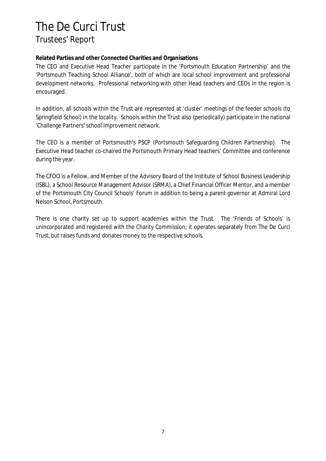**Related Parties and other Connected Charities and Organisations**

The CEO and Executive Head Teacher participate in the 'Portsmouth Education Partnership' and the 'Portsmouth Teaching School Alliance', both of which are local school improvement and professional development networks. Professional networking with other Head teachers and CEOs in the region is encouraged.

In addition, all schools within the Trust are represented at 'cluster' meetings of the feeder schools (to Springfield School) in the locality. Schools within the Trust also (periodically) participate in the national 'Challenge Partners' school improvement network.

The CEO is a member of Portsmouth's PSCP (Portsmouth Safeguarding Children Partnership). The Executive Head teacher co-chaired the Portsmouth Primary Head teachers' Committee and conference during the year.

The CFOO is a Fellow, and Member of the Advisory Board of the Institute of School Business Leadership (ISBL), a School Resource Management Advisor (SRMA), a Chief Financial Officer Mentor, and a member of the Portsmouth City Council Schools' Forum in addition to being a parent governor at Admiral Lord Nelson School, Portsmouth.

There is one charity set up to support academies within the Trust. The 'Friends of Schools' is unincorporated and registered with the Charity Commission; it operates separately from The De Curci Trust, but raises funds and donates money to the respective schools.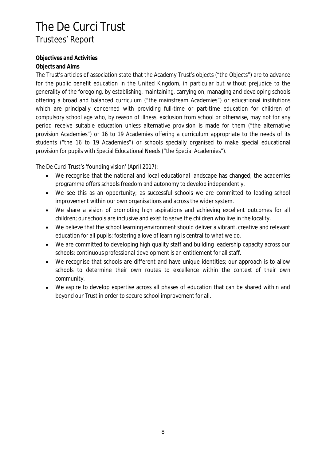### **Objectives and Activities**

### **Objects and Aims**

The Trust's articles of association state that the Academy Trust's objects ("the Objects") are to advance for the public benefit education in the United Kingdom, in particular but without prejudice to the generality of the foregoing, by establishing, maintaining, carrying on, managing and developing schools offering a broad and balanced curriculum ("the mainstream Academies") or educational institutions which are principally concerned with providing full-time or part-time education for children of compulsory school age who, by reason of illness, exclusion from school or otherwise, may not for any period receive suitable education unless alternative provision is made for them ("the alternative provision Academies") or 16 to 19 Academies offering a curriculum appropriate to the needs of its students ("the 16 to 19 Academies") or schools specially organised to make special educational provision for pupils with Special Educational Needs ("the Special Academies").

The De Curci Trust's 'founding vision' (April 2017):

- We recognise that the national and local educational landscape has changed; the academies  $\bullet$ programme offers schools freedom and autonomy to develop independently.
- We see this as an opportunity; as successful schools we are committed to leading school improvement within our own organisations and across the wider system.
- We share a vision of promoting high aspirations and achieving excellent outcomes for all  $\bullet$ children; our schools are inclusive and exist to serve the children who live in the locality.
- We believe that the school learning environment should deliver a vibrant, creative and relevant  $\bullet$ education for all pupils; fostering a love of learning is central to what we do.
- We are committed to developing high quality staff and building leadership capacity across our  $\bullet$ schools; continuous professional development is an entitlement for all staff.
- We recognise that schools are different and have unique identities; our approach is to allow  $\bullet$ schools to determine their own routes to excellence within the context of their own community.
- We aspire to develop expertise across all phases of education that can be shared within and  $\bullet$ beyond our Trust in order to secure school improvement for all.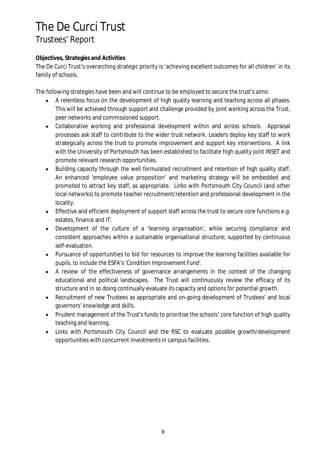### **Objectives, Strategies and Activities**

The De Curci Trust's overarching strategic priority is 'achieving excellent outcomes for all children' in its family of schools.

The following strategies have been and will continue to be employed to secure the trust's aims:

- A relentless focus on the development of high quality learning and teaching across all phases.  $\bullet$ This will be achieved through support and challenge provided by joint working across the Trust, peer networks and commissioned support.
- Collaborative working and professional development within and across schools. Appraisal  $\bullet$ processes ask staff to contribute to the wider trust network. Leaders deploy key staff to work strategically across the trust to promote improvement and support key interventions. A link with the University of Portsmouth has been established to facilitate high quality joint INSET and promote relevant research opportunities.
- Building capacity through the well formulated recruitment and retention of high quality staff.  $\bullet$ An enhanced 'employee value proposition' and marketing strategy will be embedded and promoted to attract key staff, as appropriate. Links with Portsmouth City Council (and other local networks) to promote teacher recruitment/retention and professional development in the locality.
- Effective and efficient deployment of support staff across the trust to secure core functions e.g.  $\bullet$ estates, finance and IT.
- Development of the culture of a 'learning organisation', while securing compliance and consistent approaches within a sustainable organisational structure; supported by continuous self-evaluation.
- Pursuance of opportunities to bid for resources to improve the learning facilities available for  $\bullet$ pupils, to include the ESFA's 'Condition Improvement Fund'.
- A review of the effectiveness of governance arrangements in the context of the changing  $\bullet$ educational and political landscapes. The Trust will continuously review the efficacy of its structure and in so doing continually evaluate its capacity and options for potential growth.
- Recruitment of new Trustees as appropriate and on-going development of Trustees' and local  $\bullet$ governors' knowledge and skills.
- Prudent management of the Trust's funds to prioritise the schools' core function of high quality teaching and learning.
- Links with Portsmouth City Council and the RSC to evaluate possible growth/development  $\bullet$ opportunities with concurrent investments in campus facilities.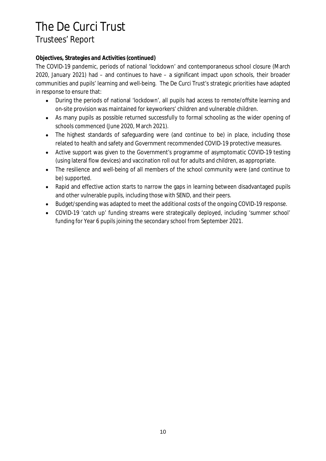### **Objectives, Strategies and Activities (continued)**

The COVID-19 pandemic, periods of national 'lockdown' and contemporaneous school closure (March 2020, January 2021) had – and continues to have – a significant impact upon schools, their broader communities and pupils' learning and well-being. The De Curci Trust's strategic priorities have adapted in response to ensure that:

- During the periods of national 'lockdown', all pupils had access to remote/offsite learning and  $\bullet$ on-site provision was maintained for keyworkers' children and vulnerable children.
- As many pupils as possible returned successfully to formal schooling as the wider opening of  $\bullet$ schools commenced (June 2020, March 2021).
- The highest standards of safeguarding were (and continue to be) in place, including those  $\bullet$ related to health and safety and Government recommended COVID-19 protective measures.
- Active support was given to the Government's programme of asymptomatic COVID-19 testing  $\bullet$ (using lateral flow devices) and vaccination roll out for adults and children, as appropriate.
- The resilience and well-being of all members of the school community were (and continue to  $\bullet$ be) supported.
- Rapid and effective action starts to narrow the gaps in learning between disadvantaged pupils  $\bullet$ and other vulnerable pupils, including those with SEND, and their peers.
- Budget/spending was adapted to meet the additional costs of the ongoing COVID-19 response.
- COVID-19 'catch up' funding streams were strategically deployed, including 'summer school'  $\bullet$ funding for Year 6 pupils joining the secondary school from September 2021.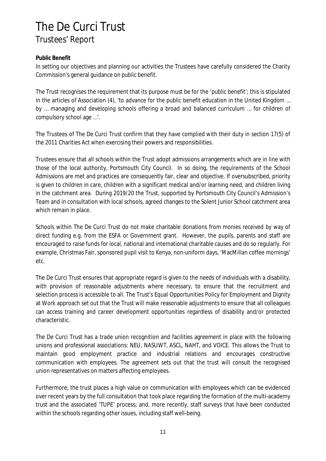### **Public Benefit**

In setting our objectives and planning our activities the Trustees have carefully considered the Charity Commission's general guidance on public benefit.

The Trust recognises the requirement that its purpose must be for the 'public benefit'; this is stipulated in the articles of Association (4), 'to advance for the public benefit education in the United Kingdom … by … managing and developing schools offering a broad and balanced curriculum … for children of compulsory school age …'.

The Trustees of The De Curci Trust confirm that they have complied with their duty in section 17(5) of the 2011 Charities Act when exercising their powers and responsibilities.

Trustees ensure that all schools within the Trust adopt admissions arrangements which are in line with those of the local authority, Portsmouth City Council. In so doing, the requirements of the School Admissions are met and practices are consequently fair, clear and objective. If oversubscribed, priority is given to children in care, children with a significant medical and/or learning need, and children living in the catchment area. During 2019/20 the Trust, supported by Portsmouth City Council's Admission's Team and in consultation with local schools, agreed changes to the Solent Junior School catchment area which remain in place.

Schools within The De Curci Trust do not make charitable donations from monies received by way of direct funding e.g. from the ESFA or Government grant. However, the pupils, parents and staff are encouraged to raise funds for local, national and international charitable causes and do so regularly. For example, Christmas Fair, sponsored pupil visit to Kenya, non-uniform days, 'MacMillan coffee mornings' etc.

The De Curci Trust ensures that appropriate regard is given to the needs of individuals with a disability, with provision of reasonable adjustments where necessary, to ensure that the recruitment and selection process is accessible to all. The Trust's Equal Opportunities Policy for Employment and Dignity at Work approach set out that the Trust will make reasonable adjustments to ensure that all colleagues can access training and career development opportunities regardless of disability and/or protected characteristic.

The De Curci Trust has a trade union recognition and facilities agreement in place with the following unions and professional associations: NEU, NASUWT, ASCL, NAHT, and VOICE. This allows the Trust to maintain good employment practice and industrial relations and encourages constructive communication with employees. The agreement sets out that the trust will consult the recognised union representatives on matters affecting employees.

Furthermore, the trust places a high value on communication with employees which can be evidenced over recent years by the full consultation that took place regarding the formation of the multi-academy trust and the associated 'TUPE' process; and, more recently, staff surveys that have been conducted within the schools regarding other issues, including staff well-being.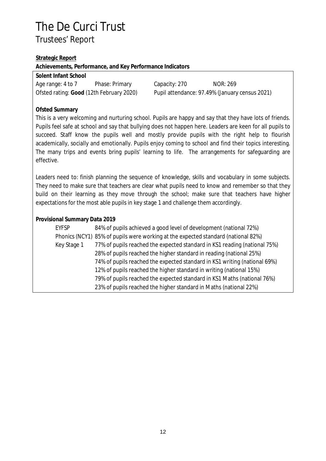### **Strategic Report**

**Achievements, Performance, and Key Performance Indicators**

| Solent Infant School                     |                |
|------------------------------------------|----------------|
| Age range: 4 to 7                        | Phase: Primary |
| Ofsted rating: Good (12th February 2020) |                |

Capacity: 270 NOR: 269 Pupil attendance: 97.49% (January census 2021)

### **Ofsted Summary**

This is a very welcoming and nurturing school. Pupils are happy and say that they have lots of friends. Pupils feel safe at school and say that bullying does not happen here. Leaders are keen for all pupils to succeed. Staff know the pupils well and mostly provide pupils with the right help to flourish academically, socially and emotionally. Pupils enjoy coming to school and find their topics interesting. The many trips and events bring pupils' learning to life. The arrangements for safeguarding are effective.

Leaders need to: finish planning the sequence of knowledge, skills and vocabulary in some subjects. They need to make sure that teachers are clear what pupils need to know and remember so that they build on their learning as they move through the school; make sure that teachers have higher expectations for the most able pupils in key stage 1 and challenge them accordingly.

### **Provisional Summary Data 2019**

| <b>EYFSP</b> | 84% of pupils achieved a good level of development (national 72%)                 |
|--------------|-----------------------------------------------------------------------------------|
|              | Phonics (NCY1) 85% of pupils were working at the expected standard (national 82%) |
| Key Stage 1  | 77% of pupils reached the expected standard in KS1 reading (national 75%)         |
|              | 28% of pupils reached the higher standard in reading (national 25%)               |
|              | 74% of pupils reached the expected standard in KS1 writing (national 69%)         |
|              | 12% of pupils reached the higher standard in writing (national 15%)               |
|              | 79% of pupils reached the expected standard in KS1 Maths (national 76%)           |
|              | 23% of pupils reached the higher standard in Maths (national 22%)                 |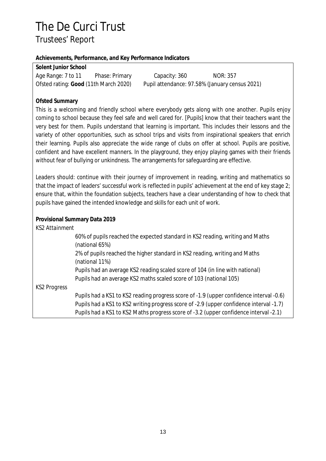### **Achievements, Performance, and Key Performance Indicators**

| Solent Junior School                  |                |                                                |          |
|---------------------------------------|----------------|------------------------------------------------|----------|
| Age Range: 7 to 11                    | Phase: Primary | Capacity: 360                                  | NOR: 357 |
| Ofsted rating: Good (11th March 2020) |                | Pupil attendance: 97.58% (January census 2021) |          |

### **Ofsted Summary**

This is a welcoming and friendly school where everybody gets along with one another. Pupils enjoy coming to school because they feel safe and well cared for. [Pupils] know that their teachers want the very best for them. Pupils understand that learning is important. This includes their lessons and the variety of other opportunities, such as school trips and visits from inspirational speakers that enrich their learning. Pupils also appreciate the wide range of clubs on offer at school. Pupils are positive, confident and have excellent manners. In the playground, they enjoy playing games with their friends without fear of bullying or unkindness. The arrangements for safeguarding are effective.

Leaders should: continue with their journey of improvement in reading, writing and mathematics so that the impact of leaders' successful work is reflected in pupils' achievement at the end of key stage 2; ensure that, within the foundation subjects, teachers have a clear understanding of how to check that pupils have gained the intended knowledge and skills for each unit of work.

**Provisional Summary Data 2019**

| <b>KS2 Attainment</b> |                                                                                                                                                                                  |
|-----------------------|----------------------------------------------------------------------------------------------------------------------------------------------------------------------------------|
|                       | 60% of pupils reached the expected standard in KS2 reading, writing and Maths<br>(national 65%)                                                                                  |
|                       | 2% of pupils reached the higher standard in KS2 reading, writing and Maths<br>(national 11%)                                                                                     |
|                       | Pupils had an average KS2 reading scaled score of 104 (in line with national)<br>Pupils had an average KS2 maths scaled score of 103 (national 105)                              |
| <b>KS2 Progress</b>   |                                                                                                                                                                                  |
|                       | Pupils had a KS1 to KS2 reading progress score of -1.9 (upper confidence interval -0.6)                                                                                          |
|                       | Pupils had a KS1 to KS2 writing progress score of -2.9 (upper confidence interval -1.7)<br>Pupils had a KS1 to KS2 Maths progress score of -3.2 (upper confidence interval -2.1) |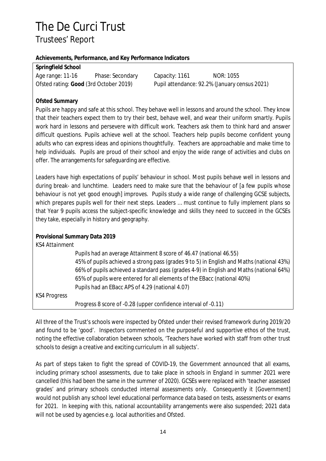### **Achievements, Performance, and Key Performance Indicators**

**Springfield School**

| Age range: 11-16                       | Phase: Secondary |
|----------------------------------------|------------------|
| Ofsted rating: Good (3rd October 2019) |                  |

Capacity: 1161 **NOR: 1055** Pupil attendance: 92.2% (January census 2021)

## **Ofsted Summary**

Pupils are happy and safe at this school. They behave well in lessons and around the school. They know that their teachers expect them to try their best, behave well, and wear their uniform smartly. Pupils work hard in lessons and persevere with difficult work. Teachers ask them to think hard and answer difficult questions. Pupils achieve well at the school. Teachers help pupils become confident young adults who can express ideas and opinions thoughtfully. Teachers are approachable and make time to help individuals. Pupils are proud of their school and enjoy the wide range of activities and clubs on offer. The arrangements for safeguarding are effective.

Leaders have high expectations of pupils' behaviour in school. Most pupils behave well in lessons and during break- and lunchtime. Leaders need to make sure that the behaviour of [a few pupils whose behaviour is not yet good enough] improves. Pupils study a wide range of challenging GCSE subjects, which prepares pupils well for their next steps. Leaders ... must continue to fully implement plans so that Year 9 pupils access the subject-specific knowledge and skills they need to succeed in the GCSEs they take, especially in history and geography.

## **Provisional Summary Data 2019**

| <b>KS4 Attainment</b> |                                                                                          |
|-----------------------|------------------------------------------------------------------------------------------|
|                       | Pupils had an average Attainment 8 score of 46.47 (national 46.55)                       |
|                       | 45% of pupils achieved a strong pass (grades 9 to 5) in English and Maths (national 43%) |
|                       | 66% of pupils achieved a standard pass (grades 4-9) in English and Maths (national 64%)  |
|                       | 65% of pupils were entered for all elements of the EBacc (national 40%)                  |
|                       | Pupils had an EBacc APS of 4.29 (national 4.07)                                          |
| <b>KS4 Progress</b>   |                                                                                          |
|                       | Progress 8 score of -0.28 (upper confidence interval of -0.11)                           |

All three of the Trust's schools were inspected by Ofsted under their revised framework during 2019/20 and found to be 'good'. Inspectors commented on the purposeful and supportive ethos of the trust, noting the effective collaboration between schools, 'Teachers have worked with staff from other trust schools to design a creative and exciting curriculum in all subjects'.

As part of steps taken to fight the spread of COVID-19, the Government announced that all exams, including primary school assessments, due to take place in schools in England in summer 2021 were cancelled (this had been the same in the summer of 2020). GCSEs were replaced with 'teacher assessed grades' and primary schools conducted internal assessments only. Consequently it [Government] would not publish any school level educational performance data based on tests, assessments or exams for 2021. In keeping with this, national accountability arrangements were also suspended; 2021 data will not be used by agencies e.g. local authorities and Ofsted.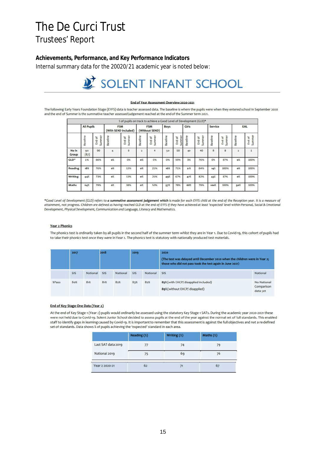**Achievements, Performance, and Key Performance Indicators** Internal summary data for the 20020/21 academic year is noted below:

# SOLENT INFANT SCHOOL

#### End of Year Assessment Overview 2020-2021

The following Early Years Foundation Stage (EYFS) data is teacher assessed data. The baseline is where the pupils were when they entered school in September 2020 and the end of Summer is the summative teacher assessed judgement reached at the end of the Summer term 2021.

|                |                   |                    |                                    | * of pupils on track to achieve a Good Level of Development (GLD)* |          |                                      |          |                  |          |                    |                 |                  |          |                  |
|----------------|-------------------|--------------------|------------------------------------|--------------------------------------------------------------------|----------|--------------------------------------|----------|------------------|----------|--------------------|-----------------|------------------|----------|------------------|
|                | <b>All Pupils</b> |                    | <b>FSM</b><br>(With SEND included) |                                                                    |          | <b>FSM</b><br>Boys<br>(Without SEND) |          |                  | Girls    |                    | Service         |                  | EAL      |                  |
|                | Baseline          | Summer<br>ď<br>End | Baseline                           | Summer<br>ð<br>End                                                 | Baseline | Summer<br>End of                     | Baseline | Summer<br>End of | Baseline | Summer<br>ă<br>End | <b>Baseline</b> | Summer<br>End of | Baseline | Summer<br>End of |
| No in<br>Group | 90<br>(87)        | 90                 | 4                                  | 8                                                                  | 2        | 4                                    | 50       | 50               | 40       | 40                 | 8               | 8                | 2        |                  |
| GLD*           | 1%                | 66%                | o%                                 | 0%                                                                 | o%       | 0%                                   | 0%       | 59%              | 3%       | 76%                | 0%              | 87%              | o%       | 100%             |
| Reading        | 18%               | 76%                | ο%<br>œ                            | 13%                                                                | o%       | 25%                                  | 16%      | 71%              | 21%      | 84%                | 14%             | 100%             | o%       | 100%             |
| Writing        | 44%               | 73%                | οX                                 | 13%                                                                | o%       | 25%                                  | 49%      | 67%              | 47%      | 82%                | 43%             | 87%              | o%       | 100%             |
| Maths          | 64%               | 79%                | oχ                                 | 38%                                                                | o%       | 50%                                  | 57%      | 78%              | 68%      | 79%                | 100%            | 100%             | 50%      | 100%             |

\*Good Level of Development (GLD) refers to a summative assessment judgement which is made for each EYFS child at the end of the Reception year. It is a measure of attainment, not progress. Children are defined as having reached GLD at the end of EYFS if they have achieved at least 'expected' level within Personal, Social & Emotional Development, Physical Development, Communication and Language, Literacy and Mathematics.

#### **Year 2 Phonics**

The phonics test is ordinarily taken by all pupils in the second half of the summer term whilst they are in Year 1. Due to Covid-19, this cohort of pupils had to take their phonics test once they were in Year 2. The phonics test is statutory with nationally produced test materials.

|        | 2017       |          | 2018<br>2019 |          |            |          | 2020<br>(The test was delayed until December 2020 when the children were in Year 2;<br>those who did not pass took the test again in June 2021) |                                       |  |  |
|--------|------------|----------|--------------|----------|------------|----------|-------------------------------------------------------------------------------------------------------------------------------------------------|---------------------------------------|--|--|
|        | <b>SIS</b> | National | SIS          | National | SIS<br>- - | National | <b>SIS</b>                                                                                                                                      | National                              |  |  |
| \$Pass | 80%        | 81%      | 81%          | 82%      | 85%        | 82%      | 85% (with EHCP/ disapplied included)<br>89% (without EHCP/ disapplied)                                                                          | No National<br>Comparison<br>data yet |  |  |

#### End of Key Stage One Data (Year 2)

At the end of Key Stage 1 (Year 2) pupils would ordinarily be assessed using the statutory Key Stage 1 SATs. During the academic year 2020-2021 these were not held due to Covid-19. Solent Junior School decided to assess pupils at the end of the year against the normal set of full standards. This enabled staff to identify gaps in learning caused by Covid-19. It is important to remember that this assessment is against the full objectives and not a re-defined set of standards. Data shows % of pupils achieving the 'expected' standard in each area.

|                    | Reading $(x)$ | Writing $(\%)$ | Maths $(x)$ |
|--------------------|---------------|----------------|-------------|
| Last SAT data 2019 |               |                |             |
| National 2019      | 75<br>n m     | 69             | 76          |
| Year 2 2020-21     | 62            | 71             | 67          |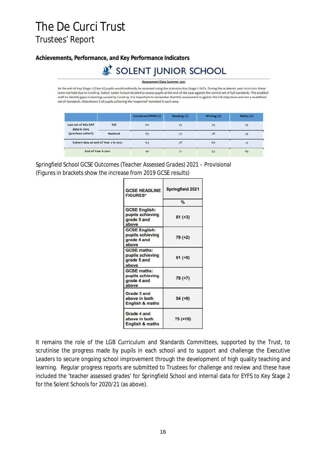**Achievements, Performance, and Key Performance Indicators**

## SOLENT JUNIOR SCHOOL

Assessment Data Summer 2021

At the end of Key Stage 2 (Year 6) pupils would ordinarily be assessed using the statutory Key Stage 2 SATs. During the academic year 2020-2021 these were not held due to Covid-19. Solent Junior School decided to assess pupils at the end of the year against the normal set of full standards. This enabled staff to identify gaps in learning caused by Covid-19. It is important to remember that this assessment is against the full objectives and not a re-defined set of standards. Data shows % of pupils achieving the 'expected' standard in each area.

|                                      |                 | Combined RWM (%) | Reading (%) | Writing $(x)$ | Maths $(x)$ |
|--------------------------------------|-----------------|------------------|-------------|---------------|-------------|
| Last set of KS2 SAT<br>data in 2019  | <b>SJS</b>      | 60               | 73          | 74            | 79          |
| (previous cohort)                    | <b>National</b> | 65               |             | 78            | 79          |
| Cohort data at end of Year 2 in 2017 |                 | 63               | 78          | 66            | 73          |
| End of Year 6 2021                   |                 | 46               |             | 53            | 69          |

*Springfield School GCSE Outcomes (Teacher Assessed Grades) 2021 – Provisional* (Figures in brackets show the increase from 2019 GCSE results)

| <b>GCSE HEADLINE</b><br><b>FIGURES*</b>                          | Springfield 2021 |
|------------------------------------------------------------------|------------------|
|                                                                  | $\frac{9}{6}$    |
| <b>GCSE English:</b><br>pupils achieving<br>grade 5 and<br>above | $61 (+3)$        |
| <b>GCSE English:</b><br>pupils achieving<br>grade 4 and<br>above | 79 (+2)          |
| <b>GCSE</b> maths:<br>pupils achieving<br>grade 5 and<br>above   | $61 (+9)$        |
| <b>GCSE maths:</b><br>pupils achieving<br>grade 4 and<br>above   | 79 (+7)          |
| Grade 5 and<br>above in both<br><b>English &amp; maths</b>       | $54 (+9)$        |
| Grade 4 and<br>above in both<br><b>English &amp; maths</b>       | $75 (+10)$       |

It remains the role of the LGB Curriculum and Standards Committees, supported by the Trust, to scrutinise the progress made by pupils in each school and to support and challenge the Executive Leaders to secure ongoing school improvement through the development of high quality teaching and learning. Regular progress reports are submitted to Trustees for challenge and review and these have included the 'teacher assessed grades' for Springfield School and internal data for EYFS to Key Stage 2 for the Solent Schools for 2020/21 (as above).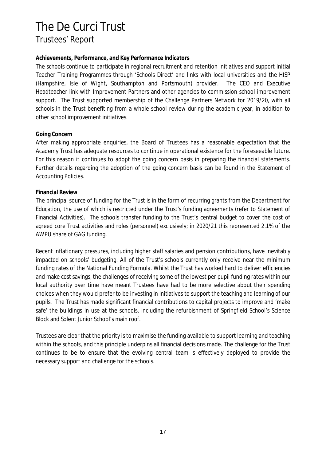### **Achievements, Performance, and Key Performance Indicators**

The schools continue to participate in regional recruitment and retention initiatives and support Initial Teacher Training Programmes through 'Schools Direct' and links with local universities and the HISP (Hampshire, Isle of Wight, Southampton and Portsmouth) provider. The CEO and Executive Headteacher link with Improvement Partners and other agencies to commission school improvement support. The Trust supported membership of the Challenge Partners Network for 2019/20, with all schools in the Trust benefiting from a whole school review during the academic year, in addition to other school improvement initiatives.

### **Going Concern**

After making appropriate enquiries, the Board of Trustees has a reasonable expectation that the Academy Trust has adequate resources to continue in operational existence for the foreseeable future. For this reason it continues to adopt the going concern basis in preparing the financial statements. Further details regarding the adoption of the going concern basis can be found in the Statement of Accounting Policies.

### **Financial Review**

The principal source of funding for the Trust is in the form of recurring grants from the Department for Education, the use of which is restricted under the Trust's funding agreements (refer to Statement of Financial Activities). The schools transfer funding to the Trust's central budget to cover the cost of agreed core Trust activities and roles (personnel) exclusively; in 2020/21 this represented 2.1% of the AWPU share of GAG funding.

Recent inflationary pressures, including higher staff salaries and pension contributions, have inevitably impacted on schools' budgeting. All of the Trust's schools currently only receive near the minimum funding rates of the National Funding Formula. Whilst the Trust has worked hard to deliver efficiencies and make cost savings, the challenges of receiving some of the lowest per pupil funding rates within our local authority over time have meant Trustees have had to be more selective about their spending choices when they would prefer to be investing in initiatives to support the teaching and learning of our pupils. The Trust has made significant financial contributions to capital projects to improve and 'make safe' the buildings in use at the schools, including the refurbishment of Springfield School's Science Block and Solent Junior School's main roof.

Trustees are clear that the priority is to maximise the funding available to support learning and teaching within the schools, and this principle underpins all financial decisions made. The challenge for the Trust continues to be to ensure that the evolving central team is effectively deployed to provide the necessary support and challenge for the schools.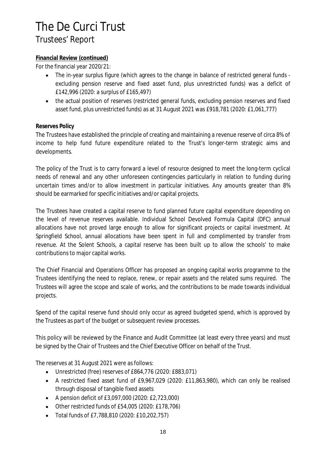## **Financial Review (continued)**

For the financial year 2020/21:

- The in-year surplus figure (which agrees to the change in balance of restricted general funds  $\bullet$ excluding pension reserve and fixed asset fund, plus unrestricted funds) was a deficit of £142,996 (2020: a surplus of £165,497)
- $\bullet$ the actual position of reserves (restricted general funds, excluding pension reserves and fixed asset fund, plus unrestricted funds) as at 31 August 2021 was £918,781 (2020: £1,061,777)

### **Reserves Policy**

The Trustees have established the principle of creating and maintaining a revenue reserve of circa 8% of income to help fund future expenditure related to the Trust's longer-term strategic aims and developments.

The policy of the Trust is to carry forward a level of resource designed to meet the long-term cyclical needs of renewal and any other unforeseen contingencies particularly in relation to funding during uncertain times and/or to allow investment in particular initiatives. Any amounts greater than 8% should be earmarked for specific initiatives and/or capital projects.

The Trustees have created a capital reserve to fund planned future capital expenditure depending on the level of revenue reserves available. Individual School Devolved Formula Capital (DFC) annual allocations have not proved large enough to allow for significant projects or capital investment. At Springfield School, annual allocations have been spent in full and complimented by transfer from revenue. At the Solent Schools, a capital reserve has been built up to allow the schools' to make contributions to major capital works.

The Chief Financial and Operations Officer has proposed an ongoing capital works programme to the Trustees identifying the need to replace, renew, or repair assets and the related sums required. The Trustees will agree the scope and scale of works, and the contributions to be made towards individual projects.

Spend of the capital reserve fund should only occur as agreed budgeted spend, which is approved by the Trustees as part of the budget or subsequent review processes.

This policy will be reviewed by the Finance and Audit Committee (at least every three years) and must be signed by the Chair of Trustees and the Chief Executive Officer on behalf of the Trust.

The reserves at 31 August 2021 were as follows:

- Unrestricted (free) reserves of £864,776 (2020: £883,071)
- A restricted fixed asset fund of £9,967,029 (2020: £11,863,980), which can only be realised through disposal of tangible fixed assets
- A pension deficit of £3,097,000 (2020: £2,723,000)
- Other restricted funds of £54,005 (2020: £178,706)
- $\bullet$ Total funds of £7,788,810 (2020: £10,202,757)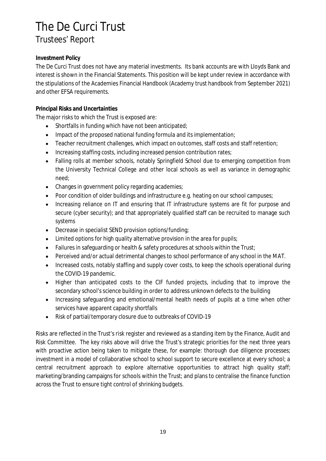### **Investment Policy**

The De Curci Trust does not have any material investments. Its bank accounts are with Lloyds Bank and interest is shown in the Financial Statements. This position will be kept under review in accordance with the stipulations of the Academies Financial Handbook (Academy trust handbook from September 2021) and other EFSA requirements.

### **Principal Risks and Uncertainties**

The major risks to which the Trust is exposed are:

- $\bullet$ Shortfalls in funding which have not been anticipated;
- Impact of the proposed national funding formula and its implementation;
- Teacher recruitment challenges, which impact on outcomes, staff costs and staff retention;  $\bullet$
- Increasing staffing costs, including increased pension contribution rates;
- Falling rolls at member schools, notably Springfield School due to emerging competition from the University Technical College and other local schools as well as variance in demographic need;
- Changes in government policy regarding academies;  $\bullet$
- Poor condition of older buildings and infrastructure e.g. heating on our school campuses;
- Increasing reliance on IT and ensuring that IT infrastructure systems are fit for purpose and secure (cyber security); and that appropriately qualified staff can be recruited to manage such systems
- $\bullet$ Decrease in specialist SEND provision options/funding;
- Limited options for high quality alternative provision in the area for pupils;
- Failures in safeguarding or health & safety procedures at schools within the Trust;
- Perceived and/or actual detrimental changes to school performance of any school in the MAT.
- Increased costs, notably staffing and supply cover costs, to keep the schools operational during the COVID-19 pandemic.
- Higher than anticipated costs to the CIF funded projects, including that to improve the  $\bullet$ secondary school's science building in order to address unknown defects to the building
- Increasing safeguarding and emotional/mental health needs of pupils at a time when other  $\bullet$ services have apparent capacity shortfalls
- Risk of partial/temporary closure due to outbreaks of COVID-19  $\bullet$

Risks are reflected in the Trust's risk register and reviewed as a standing item by the Finance, Audit and Risk Committee. The key risks above will drive the Trust's strategic priorities for the next three years with proactive action being taken to mitigate these, for example: thorough due diligence processes; investment in a model of collaborative school to school support to secure excellence at every school; a central recruitment approach to explore alternative opportunities to attract high quality staff; marketing/branding campaigns for schools within the Trust; and plans to centralise the finance function across the Trust to ensure tight control of shrinking budgets.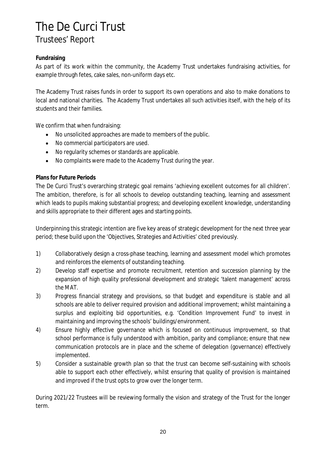### **Fundraising**

As part of its work within the community, the Academy Trust undertakes fundraising activities, for example through fetes, cake sales, non-uniform days etc.

The Academy Trust raises funds in order to support its own operations and also to make donations to local and national charities. The Academy Trust undertakes all such activities itself, with the help of its students and their families.

We confirm that when fundraising:

- No unsolicited approaches are made to members of the public.  $\bullet$
- No commercial participators are used.  $\bullet$
- No regularity schemes or standards are applicable.
- No complaints were made to the Academy Trust during the year.  $\bullet$

### **Plans for Future Periods**

The De Curci Trust's overarching strategic goal remains 'achieving excellent outcomes for all children'. The ambition, therefore, is for all schools to develop outstanding teaching, learning and assessment which leads to pupils making substantial progress; and developing excellent knowledge, understanding and skills appropriate to their different ages and starting points.

Underpinning this strategic intention are five key areas of strategic development for the next three year period; these build upon the 'Objectives, Strategies and Activities' cited previously.

- 1) Collaboratively design a cross-phase teaching, learning and assessment model which promotes and reinforces the elements of outstanding teaching.
- 2) Develop staff expertise and promote recruitment, retention and succession planning by the expansion of high quality professional development and strategic 'talent management' across the MAT.
- 3) Progress financial strategy and provisions, so that budget and expenditure is stable and all schools are able to deliver required provision and additional improvement; whilst maintaining a surplus and exploiting bid opportunities, e.g. 'Condition Improvement Fund' to invest in maintaining and improving the schools' buildings/environment.
- 4) Ensure highly effective governance which is focused on continuous improvement, so that school performance is fully understood with ambition, parity and compliance; ensure that new communication protocols are in place and the scheme of delegation (governance) effectively implemented.
- 5) Consider a sustainable growth plan so that the trust can become self-sustaining with schools able to support each other effectively, whilst ensuring that quality of provision is maintained and improved if the trust opts to grow over the longer term.

During 2021/22 Trustees will be reviewing formally the vision and strategy of the Trust for the longer term.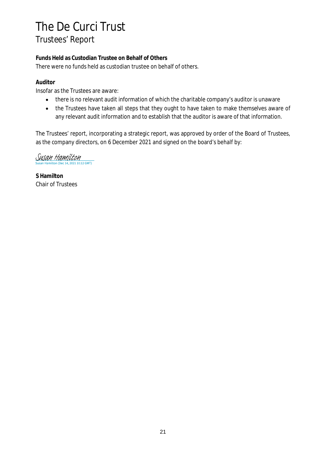**Funds Held as Custodian Trustee on Behalf of Others** There were no funds held as custodian trustee on behalf of others.

## **Auditor**

Insofar as the Trustees are aware:

- there is no relevant audit information of which the charitable company's auditor is unaware  $\bullet$
- the Trustees have taken all steps that they ought to have taken to make themselves aware of  $\bullet$ any relevant audit information and to establish that the auditor is aware of that information.

The Trustees' report, incorporating a strategic report, was approved by order of the Board of Trustees, as the company directors, on 6 December 2021 and signed on the board's behalf by:

 $\underline{\text{SUSAN Hamilton (Dec 14, 2021 10:12 GMT)}}$ 

**S Hamilton** Chair of Trustees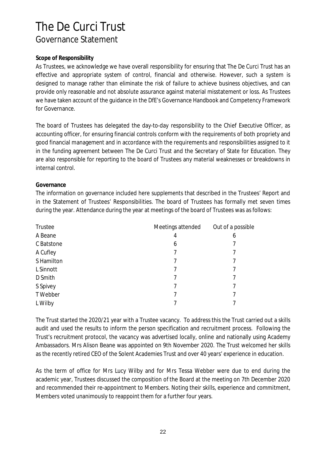### **Scope of Responsibility**

As Trustees, we acknowledge we have overall responsibility for ensuring that The De Curci Trust has an effective and appropriate system of control, financial and otherwise. However, such a system is designed to manage rather than eliminate the risk of failure to achieve business objectives, and can provide only reasonable and not absolute assurance against material misstatement or loss. As Trustees we have taken account of the guidance in the DfE's Governance Handbook and Competency Framework for Governance.

The board of Trustees has delegated the day-to-day responsibility to the Chief Executive Officer, as accounting officer, for ensuring financial controls conform with the requirements of both propriety and good financial management and in accordance with the requirements and responsibilities assigned to it in the funding agreement between The De Curci Trust and the Secretary of State for Education. They are also responsible for reporting to the board of Trustees any material weaknesses or breakdowns in internal control.

### **Governance**

The information on governance included here supplements that described in the Trustees' Report and in the Statement of Trustees' Responsibilities. The board of Trustees has formally met seven times during the year. Attendance during the year at meetings of the board of Trustees was as follows:

| Trustee    | Meetings attended | Out of a possible |
|------------|-------------------|-------------------|
| A Beane    | 4                 | 6                 |
| C Batstone | 6                 |                   |
| A Cufley   |                   |                   |
| S Hamilton |                   |                   |
| L Sinnott  |                   |                   |
| D Smith    |                   | 7                 |
| S Spivey   |                   |                   |
| T Webber   |                   |                   |
| L Wilby    |                   |                   |

The Trust started the 2020/21 year with a Trustee vacancy. To address this the Trust carried out a skills audit and used the results to inform the person specification and recruitment process. Following the Trust's recruitment protocol, the vacancy was advertised locally, online and nationally using Academy Ambassadors. Mrs Alison Beane was appointed on 9th November 2020. The Trust welcomed her skills as the recently retired CEO of the Solent Academies Trust and over 40 years' experience in education.

As the term of office for Mrs Lucy Wilby and for Mrs Tessa Webber were due to end during the academic year, Trustees discussed the composition of the Board at the meeting on 7th December 2020 and recommended their re-appointment to Members. Noting their skills, experience and commitment, Members voted unanimously to reappoint them for a further four years.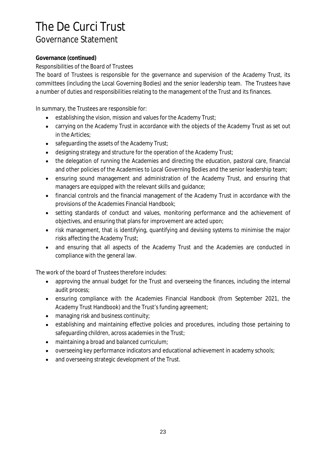### **Governance (continued)**

*Responsibilities of the Board of Trustees*

The board of Trustees is responsible for the governance and supervision of the Academy Trust, its committees (including the Local Governing Bodies) and the senior leadership team. The Trustees have a number of duties and responsibilities relating to the management of the Trust and its finances.

In summary, the Trustees are responsible for:

- establishing the vision, mission and values for the Academy Trust;  $\bullet$
- carrying on the Academy Trust in accordance with the objects of the Academy Trust as set out  $\bullet$ in the Articles;
- safeguarding the assets of the Academy Trust;  $\bullet$
- designing strategy and structure for the operation of the Academy Trust;
- the delegation of running the Academies and directing the education, pastoral care, financial and other policies of the Academies to Local Governing Bodies and the senior leadership team;
- ensuring sound management and administration of the Academy Trust, and ensuring that  $\bullet$ managers are equipped with the relevant skills and guidance;
- financial controls and the financial management of the Academy Trust in accordance with the  $\bullet$ provisions of the Academies Financial Handbook;
- setting standards of conduct and values, monitoring performance and the achievement of  $\bullet$ objectives, and ensuring that plans for improvement are acted upon;
- risk management, that is identifying, quantifying and devising systems to minimise the major  $\bullet$ risks affecting the Academy Trust;
- and ensuring that all aspects of the Academy Trust and the Academies are conducted in compliance with the general law.

The work of the board of Trustees therefore includes:

- $\bullet$ approving the annual budget for the Trust and overseeing the finances, including the internal audit process;
- ensuring compliance with the Academies Financial Handbook (from September 2021, the Academy Trust Handbook) and the Trust's funding agreement;
- managing risk and business continuity;  $\bullet$
- establishing and maintaining effective policies and procedures, including those pertaining to safeguarding children, across academies in the Trust;
- maintaining a broad and balanced curriculum;  $\bullet$
- overseeing key performance indicators and educational achievement in academy schools;
- and overseeing strategic development of the Trust.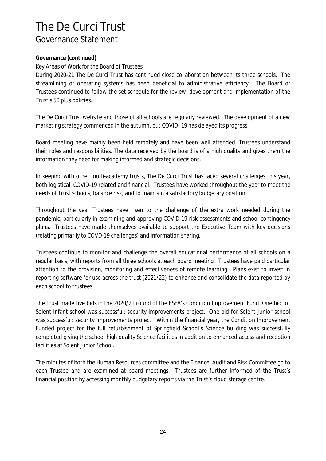### **Governance (continued)**

*Key Areas of Work for the Board of Trustees*

During 2020-21 The De Curci Trust has continued close collaboration between its three schools. The streamlining of operating systems has been beneficial to administrative efficiency. The Board of Trustees continued to follow the set schedule for the review, development and implementation of the Trust's 50 plus policies.

The De Curci Trust website and those of all schools are regularly reviewed. The development of a new marketing strategy commenced in the autumn, but COVID- 19 has delayed its progress.

Board meeting have mainly been held remotely and have been well attended. Trustees understand their roles and responsibilities. The data received by the board is of a high quality and gives them the information they need for making informed and strategic decisions.

In keeping with other multi-academy trusts, The De Curci Trust has faced several challenges this year, both logistical, COVID-19 related and financial. Trustees have worked throughout the year to meet the needs of Trust schools; balance risk; and to maintain a satisfactory budgetary position.

Throughout the year Trustees have risen to the challenge of the extra work needed during the pandemic, particularly in examining and approving COVID-19 risk assessments and school contingency plans. Trustees have made themselves available to support the Executive Team with key decisions (relating primarily to COVD-19 challenges) and information sharing.

Trustees continue to monitor and challenge the overall educational performance of all schools on a regular basis, with reports from all three schools at each board meeting. Trustees have paid particular attention to the provision, monitoring and effectiveness of remote learning. Plans exist to invest in reporting software for use across the trust (2021/22) to enhance and consolidate the data reported by each school to trustees.

The Trust made five bids in the 2020/21 round of the ESFA's Condition Improvement Fund. One bid for Solent Infant school was successful: security improvements project. One bid for Solent Junior school was successful: security improvements project. Within the financial year, the Condition Improvement Funded project for the full refurbishment of Springfield School's Science building was successfully completed giving the school high quality Science facilities in addition to enhanced access and reception facilities at Solent Junior School.

The minutes of both the Human Resources committee and the Finance, Audit and Risk Committee go to each Trustee and are examined at board meetings. Trustees are further informed of the Trust's financial position by accessing monthly budgetary reports via the Trust's cloud storage centre.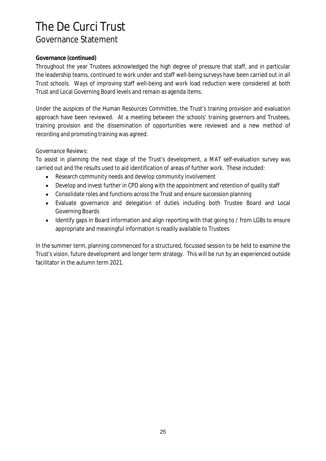### **Governance (continued)**

Throughout the year Trustees acknowledged the high degree of pressure that staff, and in particular the leadership teams, continued to work under and staff well-being surveys have been carried out in all Trust schools. Ways of improving staff well-being and work load reduction were considered at both Trust and Local Governing Board levels and remain as agenda items.

Under the auspices of the Human Resources Committee, the Trust's training provision and evaluation approach have been reviewed. At a meeting between the schools' training governors and Trustees, training provision and the dissemination of opportunities were reviewed and a new method of recording and promoting training was agreed.

### *Governance Reviews:*

To assist in planning the next stage of the Trust's development, a MAT self-evaluation survey was carried out and the results used to aid identification of areas of further work. These included:

- Research community needs and develop community involvement  $\bullet$
- Develop and invest further in CPD along with the appointment and retention of quality staff  $\bullet$
- Consolidate roles and functions across the Trust and ensure succession planning  $\bullet$
- Evaluate governance and delegation of duties including both Trustee Board and Local Governing Boards
- Identify gaps in Board information and align reporting with that going to / from LGBs to ensure  $\bullet$ appropriate and meaningful information is readily available to Trustees

In the summer term, planning commenced for a structured, focussed session to be held to examine the Trust's vision, future development and longer term strategy. This will be run by an experienced outside facilitator in the autumn term 2021.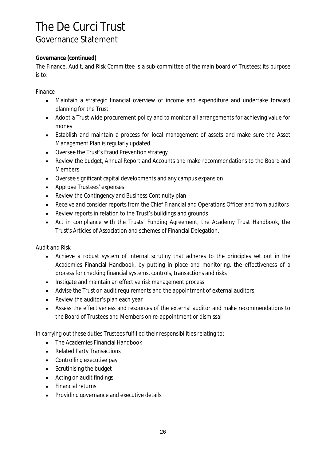### **Governance (continued)**

The Finance, Audit, and Risk Committee is a sub-committee of the main board of Trustees; its purpose is to:

*Finance*

- Maintain a strategic financial overview of income and expenditure and undertake forward  $\bullet$ planning for the Trust
- Adopt a Trust wide procurement policy and to monitor all arrangements for achieving value for money
- Establish and maintain a process for local management of assets and make sure the Asset Management Plan is regularly updated
- Oversee the Trust's Fraud Prevention strategy  $\bullet$
- Review the budget, Annual Report and Accounts and make recommendations to the Board and Members
- Oversee significant capital developments and any campus expansion
- Approve Trustees' expenses
- Review the Contingency and Business Continuity plan
- Receive and consider reports from the Chief Financial and Operations Officer and from auditors
- Review reports in relation to the Trust's buildings and grounds
- Act in compliance with the Trusts' Funding Agreement, the Academy Trust Handbook, the Trust's Articles of Association and schemes of Financial Delegation.

*Audit and Risk*

- $\bullet$ Achieve a robust system of internal scrutiny that adheres to the principles set out in the Academies Financial Handbook, by putting in place and monitoring, the effectiveness of a process for checking financial systems, controls, transactions and risks
- Instigate and maintain an effective risk management process
- Advise the Trust on audit requirements and the appointment of external auditors
- Review the auditor's plan each year
- Assess the effectiveness and resources of the external auditor and make recommendations to the Board of Trustees and Members on re-appointment or dismissal

In carrying out these duties Trustees fulfilled their responsibilities relating to:

- The Academies Financial Handbook  $\bullet$
- Related Party Transactions
- Controlling executive pay
- Scrutinising the budget
- Acting on audit findings
- Financial returns
- Providing governance and executive details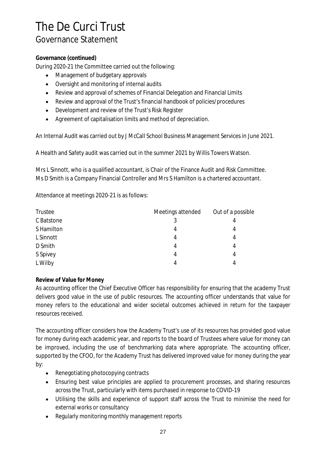## **Governance (continued)**

During 2020-21 the Committee carried out the following:

- Management of budgetary approvals  $\bullet$
- Oversight and monitoring of internal audits  $\bullet$
- Review and approval of schemes of Financial Delegation and Financial Limits
- Review and approval of the Trust's financial handbook of policies/procedures  $\bullet$
- Development and review of the Trust's Risk Register
- Agreement of capitalisation limits and method of depreciation.

An Internal Audit was carried out by J McCall School Business Management Services in June 2021.

A Health and Safety audit was carried out in the summer 2021 by Willis Towers Watson.

Mrs L Sinnott, who is a qualified accountant, is Chair of the Finance Audit and Risk Committee. Ms D Smith is a Company Financial Controller and Mrs S Hamilton is a chartered accountant.

Attendance at meetings 2020-21 is as follows:

| Trustee    | Meetings attended | Out of a possible |
|------------|-------------------|-------------------|
| C Batstone |                   | 4                 |
| S Hamilton |                   | 4                 |
| L Sinnott  | 4                 | 4                 |
| D Smith    | 4                 | 4                 |
| S Spivey   | 4                 | 4                 |
| L Wilby    |                   | 4                 |

## **Review of Value for Money**

As accounting officer the Chief Executive Officer has responsibility for ensuring that the academy Trust delivers good value in the use of public resources. The accounting officer understands that value for money refers to the educational and wider societal outcomes achieved in return for the taxpayer resources received.

The accounting officer considers how the Academy Trust's use of its resources has provided good value for money during each academic year, and reports to the board of Trustees where value for money can be improved, including the use of benchmarking data where appropriate. The accounting officer, supported by the CFOO, for the Academy Trust has delivered improved value for money during the year by:

- Renegotiating photocopying contracts
- Ensuring best value principles are applied to procurement processes, and sharing resources across the Trust, particularly with items purchased in response to COVID-19
- Utilising the skills and experience of support staff across the Trust to minimise the need for external works or consultancy
- Regularly monitoring monthly management reports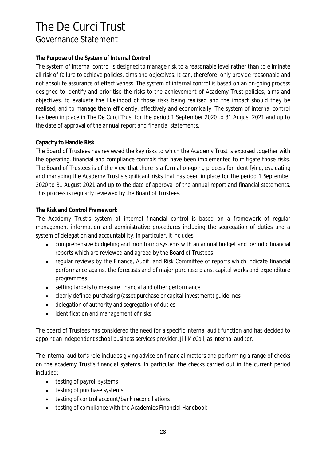### **The Purpose of the System of Internal Control**

The system of internal control is designed to manage risk to a reasonable level rather than to eliminate all risk of failure to achieve policies, aims and objectives. It can, therefore, only provide reasonable and not absolute assurance of effectiveness. The system of internal control is based on an on-going process designed to identify and prioritise the risks to the achievement of Academy Trust policies, aims and objectives, to evaluate the likelihood of those risks being realised and the impact should they be realised, and to manage them efficiently, effectively and economically. The system of internal control has been in place in The De Curci Trust for the period 1 September 2020 to 31 August 2021 and up to the date of approval of the annual report and financial statements.

### **Capacity to Handle Risk**

The Board of Trustees has reviewed the key risks to which the Academy Trust is exposed together with the operating, financial and compliance controls that have been implemented to mitigate those risks. The Board of Trustees is of the view that there is a formal on-going process for identifying, evaluating and managing the Academy Trust's significant risks that has been in place for the period 1 September 2020 to 31 August 2021 and up to the date of approval of the annual report and financial statements. This process is regularly reviewed by the Board of Trustees.

### **The Risk and Control Framework**

The Academy Trust's system of internal financial control is based on a framework of regular management information and administrative procedures including the segregation of duties and a system of delegation and accountability. In particular, it includes:

- comprehensive budgeting and monitoring systems with an annual budget and periodic financial  $\bullet$ reports which are reviewed and agreed by the Board of Trustees
- regular reviews by the Finance, Audit, and Risk Committee of reports which indicate financial  $\bullet$ performance against the forecasts and of major purchase plans, capital works and expenditure programmes
- $\bullet$ setting targets to measure financial and other performance
- clearly defined purchasing (asset purchase or capital investment) guidelines
- delegation of authority and segregation of duties  $\bullet$
- identification and management of risks  $\bullet$

The board of Trustees has considered the need for a specific internal audit function and has decided to appoint an independent school business services provider, Jill McCall, as internal auditor.

The internal auditor's role includes giving advice on financial matters and performing a range of checks on the academy Trust's financial systems. In particular, the checks carried out in the current period included:

- testing of payroll systems
- testing of purchase systems
- testing of control account/bank reconciliations
- testing of compliance with the Academies Financial Handbook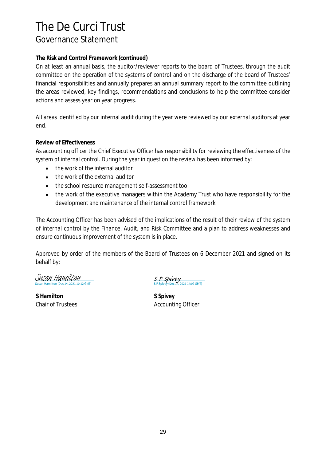### **The Risk and Control Framework (continued)**

On at least an annual basis, the auditor/reviewer reports to the board of Trustees, through the audit committee on the operation of the systems of control and on the discharge of the board of Trustees' financial responsibilities and annually prepares an annual summary report to the committee outlining the areas reviewed, key findings, recommendations and conclusions to help the committee consider actions and assess year on year progress.

All areas identified by our internal audit during the year were reviewed by our external auditors at year end.

### **Review of Effectiveness**

As accounting officer the Chief Executive Officer has responsibility for reviewing the effectiveness of the system of internal control. During the year in question the review has been informed by:

- the work of the internal auditor  $\bullet$
- the work of the external auditor
- the school resource management self-assessment tool
- the work of the executive managers within the Academy Trust who have responsibility for the  $\bullet$ development and maintenance of the internal control framework

The Accounting Officer has been advised of the implications of the result of their review of the system of internal control by the Finance, Audit, and Risk Committee and a plan to address weaknesses and ensure continuous improvement of the system is in place.

Approved by order of the members of the Board of Trustees on 6 December 2021 and signed on its behalf by:

Susan Hamilton milton (Dec 14, 2021 10:12 GMT)

**S Hamilton S Spivey**

SF Spivey 2021 14:09 GMT)

Chair of Trustees **Accounting Officer** Accounting Officer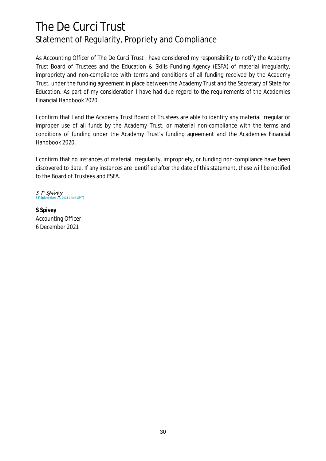## The De Curci Trust Statement of Regularity, Propriety and Compliance

As Accounting Officer of The De Curci Trust I have considered my responsibility to notify the Academy Trust Board of Trustees and the Education & Skills Funding Agency (ESFA) of material irregularity, impropriety and non-compliance with terms and conditions of all funding received by the Academy Trust, under the funding agreement in place between the Academy Trust and the Secretary of State for Education. As part of my consideration I have had due regard to the requirements of the Academies Financial Handbook 2020.

I confirm that I and the Academy Trust Board of Trustees are able to identify any material irregular or improper use of all funds by the Academy Trust, or material non-compliance with the terms and conditions of funding under the Academy Trust's funding agreement and the Academies Financial Handbook 2020.

I confirm that no instances of material irregularity, impropriety, or funding non-compliance have been discovered to date. If any instances are identified after the date of this statement, these will be notified to the Board of Trustees and ESFA.

 $S \nvdash Spivey$ <br>SFSpivey (Dec 14, 2021 14:09 GMT)

**S Spivey** Accounting Officer 6 December 2021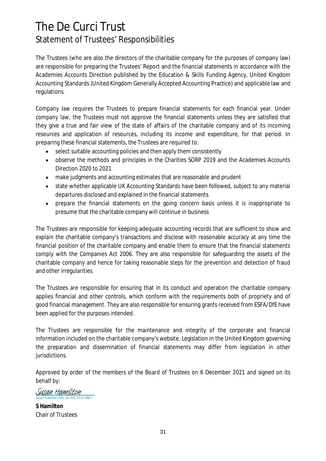## The De Curci Trust Statement of Trustees' Responsibilities

The Trustees (who are also the directors of the charitable company for the purposes of company law) are responsible for preparing the Trustees' Report and the financial statements in accordance with the Academies Accounts Direction published by the Education & Skills Funding Agency, United Kingdom Accounting Standards (United Kingdom Generally Accepted Accounting Practice) and applicable law and regulations.

Company law requires the Trustees to prepare financial statements for each financial year. Under company law, the Trustees must not approve the financial statements unless they are satisfied that they give a true and fair view of the state of affairs of the charitable company and of its incoming resources and application of resources, including its income and expenditure, for that period. In preparing these financial statements, the Trustees are required to:

- select suitable accounting policies and then apply them consistently  $\bullet$
- observe the methods and principles in the Charities SORP 2019 and the Academies Accounts  $\bullet$ Direction 2020 to 2021
- make judgments and accounting estimates that are reasonable and prudent
- state whether applicable UK Accounting Standards have been followed, subject to any material  $\bullet$ departures disclosed and explained in the financial statements
- prepare the financial statements on the going concern basis unless it is inappropriate to presume that the charitable company will continue in business

The Trustees are responsible for keeping adequate accounting records that are sufficient to show and explain the charitable company's transactions and disclose with reasonable accuracy at any time the financial position of the charitable company and enable them to ensure that the financial statements comply with the Companies Act 2006. They are also responsible for safeguarding the assets of the charitable company and hence for taking reasonable steps for the prevention and detection of fraud and other irregularities.

The Trustees are responsible for ensuring that in its conduct and operation the charitable company applies financial and other controls, which conform with the requirements both of propriety and of good financial management. They are also responsible for ensuring grants received from ESFA/DfE have been applied for the purposes intended.

The Trustees are responsible for the maintenance and integrity of the corporate and financial information included on the charitable company's website. Legislation in the United Kingdom governing the preparation and dissemination of financial statements may differ from legislation in other jurisdictions.

Approved by order of the members of the Board of Trustees on 6 December 2021 and signed on its behalf by:

Susan Hamilton  $\frac{1}{12}$  CMT)

**S Hamilton** Chair of Trustees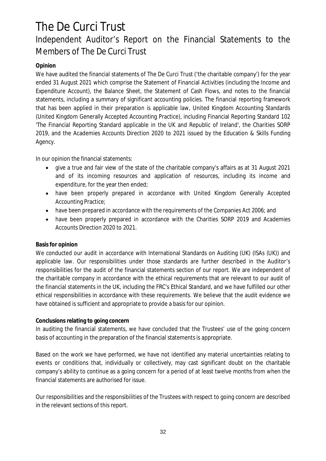## **Opinion**

We have audited the financial statements of The De Curci Trust ('the charitable company') for the year ended 31 August 2021 which comprise the Statement of Financial Activities (including the Income and Expenditure Account), the Balance Sheet, the Statement of Cash Flows, and notes to the financial statements, including a summary of significant accounting policies. The financial reporting framework that has been applied in their preparation is applicable law, United Kingdom Accounting Standards (United Kingdom Generally Accepted Accounting Practice), including Financial Reporting Standard 102 'The Financial Reporting Standard applicable in the UK and Republic of Ireland', the Charities SORP 2019, and the Academies Accounts Direction 2020 to 2021 issued by the Education & Skills Funding Agency.

In our opinion the financial statements:

- give a true and fair view of the state of the charitable company's affairs as at 31 August 2021 and of its incoming resources and application of resources, including its income and expenditure, for the year then ended;
- have been properly prepared in accordance with United Kingdom Generally Accepted Accounting Practice;
- have been prepared in accordance with the requirements of the Companies Act 2006; and
- have been properly prepared in accordance with the Charities SORP 2019 and Academies  $\bullet$ Accounts Direction 2020 to 2021.

### **Basis for opinion**

We conducted our audit in accordance with International Standards on Auditing (UK) (ISAs (UK)) and applicable law. Our responsibilities under those standards are further described in the Auditor's responsibilities for the audit of the financial statements section of our report. We are independent of the charitable company in accordance with the ethical requirements that are relevant to our audit of the financial statements in the UK, including the FRC's Ethical Standard, and we have fulfilled our other ethical responsibilities in accordance with these requirements. We believe that the audit evidence we have obtained is sufficient and appropriate to provide a basis for our opinion.

### **Conclusions relating to going concern**

In auditing the financial statements, we have concluded that the Trustees' use of the going concern basis of accounting in the preparation of the financial statements is appropriate.

Based on the work we have performed, we have not identified any material uncertainties relating to events or conditions that, individually or collectively, may cast significant doubt on the charitable company's ability to continue as a going concern for a period of at least twelve months from when the financial statements are authorised for issue.

Our responsibilities and the responsibilities of the Trustees with respect to going concern are described in the relevant sections of this report.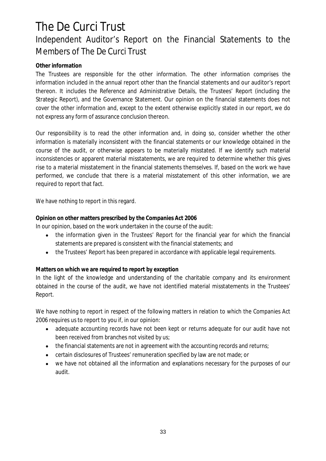## **Other information**

The Trustees are responsible for the other information. The other information comprises the information included in the annual report other than the financial statements and our auditor's report thereon. It includes the Reference and Administrative Details, the Trustees' Report (including the Strategic Report), and the Governance Statement. Our opinion on the financial statements does not cover the other information and, except to the extent otherwise explicitly stated in our report, we do not express any form of assurance conclusion thereon.

Our responsibility is to read the other information and, in doing so, consider whether the other information is materially inconsistent with the financial statements or our knowledge obtained in the course of the audit, or otherwise appears to be materially misstated. If we identify such material inconsistencies or apparent material misstatements, we are required to determine whether this gives rise to a material misstatement in the financial statements themselves. If, based on the work we have performed, we conclude that there is a material misstatement of this other information, we are required to report that fact.

We have nothing to report in this regard.

**Opinion on other matters prescribed by the Companies Act 2006**

In our opinion, based on the work undertaken in the course of the audit:

- the information given in the Trustees' Report for the financial year for which the financial  $\bullet$ statements are prepared is consistent with the financial statements; and
- $\bullet$ the Trustees' Report has been prepared in accordance with applicable legal requirements.

**Matters on which we are required to report by exception**

In the light of the knowledge and understanding of the charitable company and its environment obtained in the course of the audit, we have not identified material misstatements in the Trustees' Report.

We have nothing to report in respect of the following matters in relation to which the Companies Act 2006 requires us to report to you if, in our opinion:

- $\bullet$ adequate accounting records have not been kept or returns adequate for our audit have not been received from branches not visited by us;
- the financial statements are not in agreement with the accounting records and returns;
- certain disclosures of Trustees' remuneration specified by law are not made; or
- we have not obtained all the information and explanations necessary for the purposes of our audit.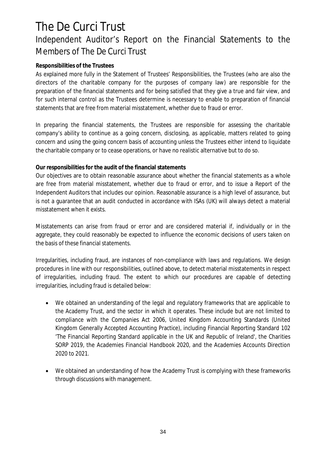### **Responsibilities of the Trustees**

As explained more fully in the Statement of Trustees' Responsibilities, the Trustees (who are also the directors of the charitable company for the purposes of company law) are responsible for the preparation of the financial statements and for being satisfied that they give a true and fair view, and for such internal control as the Trustees determine is necessary to enable to preparation of financial statements that are free from material misstatement, whether due to fraud or error.

In preparing the financial statements, the Trustees are responsible for assessing the charitable company's ability to continue as a going concern, disclosing, as applicable, matters related to going concern and using the going concern basis of accounting unless the Trustees either intend to liquidate the charitable company or to cease operations, or have no realistic alternative but to do so.

### **Our responsibilities for the audit of the financial statements**

Our objectives are to obtain reasonable assurance about whether the financial statements as a whole are free from material misstatement, whether due to fraud or error, and to issue a Report of the Independent Auditors that includes our opinion. Reasonable assurance is a high level of assurance, but is not a guarantee that an audit conducted in accordance with ISAs (UK) will always detect a material misstatement when it exists.

Misstatements can arise from fraud or error and are considered material if, individually or in the aggregate, they could reasonably be expected to influence the economic decisions of users taken on the basis of these financial statements.

Irregularities, including fraud, are instances of non-compliance with laws and regulations. We design procedures in line with our responsibilities, outlined above, to detect material misstatements in respect of irregularities, including fraud. The extent to which our procedures are capable of detecting irregularities, including fraud is detailed below:

- $\bullet$ We obtained an understanding of the legal and regulatory frameworks that are applicable to the Academy Trust, and the sector in which it operates. These include but are not limited to compliance with the Companies Act 2006, United Kingdom Accounting Standards (United Kingdom Generally Accepted Accounting Practice), including Financial Reporting Standard 102 'The Financial Reporting Standard applicable in the UK and Republic of Ireland', the Charities SORP 2019, the Academies Financial Handbook 2020, and the Academies Accounts Direction 2020 to 2021.
- We obtained an understanding of how the Academy Trust is complying with these frameworks  $\bullet$ through discussions with management.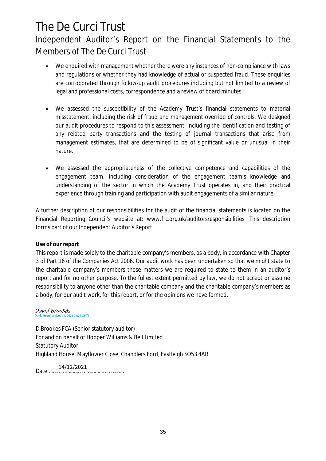- We enquired with management whether there were any instances of non-compliance with laws  $\bullet$ and regulations or whether they had knowledge of actual or suspected fraud. These enquiries are corroborated through follow-up audit procedures including but not limited to a review of legal and professional costs, correspondence and a review of board minutes.
- We assessed the susceptibility of the Academy Trust's financial statements to material  $\bullet$ misstatement, including the risk of fraud and management override of controls. We designed our audit procedures to respond to this assessment, including the identification and testing of any related party transactions and the testing of journal transactions that arise from management estimates, that are determined to be of significant value or unusual in their nature.
- We assessed the appropriateness of the collective competence and capabilities of the  $\bullet$ engagement team, including consideration of the engagement team's knowledge and understanding of the sector in which the Academy Trust operates in, and their practical experience through training and participation with audit engagements of a similar nature.

A further description of our responsibilities for the audit of the financial statements is located on the Financial Reporting Council's website at: www.frc.org.uk/auditorsresponsibilities. This description forms part of our Independent Auditor's Report.

### **Use of our report**

This report is made solely to the charitable company's members, as a body, in accordance with Chapter 3 of Part 16 of the Companies Act 2006. Our audit work has been undertaken so that we might state to the charitable company's members those matters we are required to state to them in an auditor's report and for no other purpose. To the fullest extent permitted by law, we do not accept or assume responsibility to anyone other than the charitable company and the charitable company's members as a body, for our audit work, for this report, or for the opinions we have formed.

#### David Brookes David Brookes (Dec 14, 2021 14:27 GMT)

D Brookes FCA (Senior statutory auditor) For and on behalf of Hopper Williams & Bell Limited Statutory Auditor Highland House, Mayflower Close, Chandlers Ford, Eastleigh SO53 4AR

Date ………………………………………………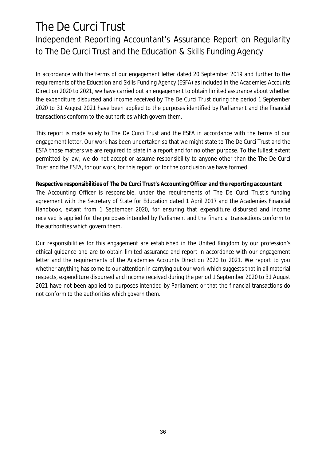## The De Curci Trust Independent Reporting Accountant's Assurance Report on Regularity to The De Curci Trust and the Education & Skills Funding Agency

In accordance with the terms of our engagement letter dated 20 September 2019 and further to the requirements of the Education and Skills Funding Agency (ESFA) as included in the Academies Accounts Direction 2020 to 2021, we have carried out an engagement to obtain limited assurance about whether the expenditure disbursed and income received by The De Curci Trust during the period 1 September 2020 to 31 August 2021 have been applied to the purposes identified by Parliament and the financial transactions conform to the authorities which govern them.

This report is made solely to The De Curci Trust and the ESFA in accordance with the terms of our engagement letter. Our work has been undertaken so that we might state to The De Curci Trust and the ESFA those matters we are required to state in a report and for no other purpose. To the fullest extent permitted by law, we do not accept or assume responsibility to anyone other than the The De Curci Trust and the ESFA, for our work, for this report, or for the conclusion we have formed.

**Respective responsibilities of The De Curci Trust's Accounting Officer and the reporting accountant** The Accounting Officer is responsible, under the requirements of The De Curci Trust's funding agreement with the Secretary of State for Education dated 1 April 2017 and the Academies Financial Handbook, extant from 1 September 2020, for ensuring that expenditure disbursed and income received is applied for the purposes intended by Parliament and the financial transactions conform to the authorities which govern them.

Our responsibilities for this engagement are established in the United Kingdom by our profession's ethical guidance and are to obtain limited assurance and report in accordance with our engagement letter and the requirements of the Academies Accounts Direction 2020 to 2021. We report to you whether anything has come to our attention in carrying out our work which suggests that in all material respects, expenditure disbursed and income received during the period 1 September 2020 to 31 August 2021 have not been applied to purposes intended by Parliament or that the financial transactions do not conform to the authorities which govern them.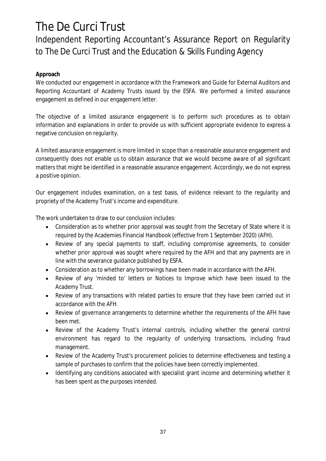## Independent Reporting Accountant's Assurance Report on Regularity to The De Curci Trust and the Education & Skills Funding Agency

## **Approach**

We conducted our engagement in accordance with the Framework and Guide for External Auditors and Reporting Accountant of Academy Trusts issued by the ESFA. We performed a limited assurance engagement as defined in our engagement letter.

The objective of a limited assurance engagement is to perform such procedures as to obtain information and explanations in order to provide us with sufficient appropriate evidence to express a negative conclusion on regularity.

A limited assurance engagement is more limited in scope than a reasonable assurance engagement and consequently does not enable us to obtain assurance that we would become aware of all significant matters that might be identified in a reasonable assurance engagement. Accordingly, we do not express a positive opinion.

Our engagement includes examination, on a test basis, of evidence relevant to the regularity and propriety of the Academy Trust's income and expenditure.

The work undertaken to draw to our conclusion includes:

- Consideration as to whether prior approval was sought from the Secretary of State where it is required by the Academies Financial Handbook (effective from 1 September 2020) (AFH).
- Review of any special payments to staff, including compromise agreements, to consider whether prior approval was sought where required by the AFH and that any payments are in line with the severance guidance published by ESFA.
- Consideration as to whether any borrowings have been made in accordance with the AFH.  $\bullet$
- Review of any 'minded to' letters or Notices to Improve which have been issued to the  $\bullet$ Academy Trust.
- Review of any transactions with related parties to ensure that they have been carried out in accordance with the AFH.
- Review of governance arrangements to determine whether the requirements of the AFH have  $\bullet$ been met.
- Review of the Academy Trust's internal controls, including whether the general control environment has regard to the regularity of underlying transactions, including fraud management.
- Review of the Academy Trust's procurement policies to determine effectiveness and testing a sample of purchases to confirm that the policies have been correctly implemented.
- Identifying any conditions associated with specialist grant income and determining whether it  $\bullet$ has been spent as the purposes intended.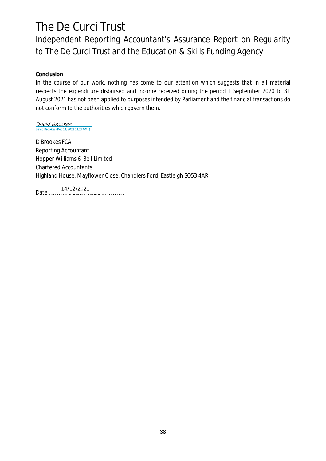Independent Reporting Accountant's Assurance Report on Regularity to The De Curci Trust and the Education & Skills Funding Agency

**Conclusion**

In the course of our work, nothing has come to our attention which suggests that in all material respects the expenditure disbursed and income received during the period 1 September 2020 to 31 August 2021 has not been applied to purposes intended by Parliament and the financial transactions do not conform to the authorities which govern them.

David Brookes<br>David Brookes (Dec 14, 2021 14:27 GMT)

D Brookes FCA Reporting Accountant Hopper Williams & Bell Limited Chartered Accountants Highland House, Mayflower Close, Chandlers Ford, Eastleigh SO53 4AR

Date ………………………………………………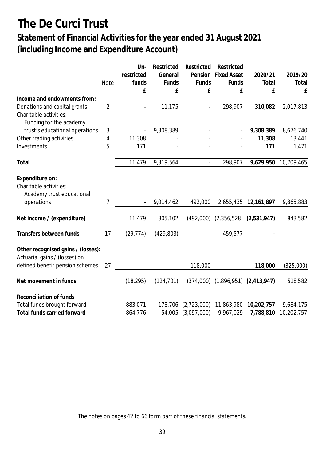## **Statement of Financial Activities for the year ended 31 August 2021 (including Income and Expenditure Account)**

|                                    |                | Un-                      | Restricted               | Restricted     | Restricted                              |            |            |
|------------------------------------|----------------|--------------------------|--------------------------|----------------|-----------------------------------------|------------|------------|
|                                    |                | restricted               | General                  | Pension        | <b>Fixed Asset</b>                      | 2020/21    | 2019/20    |
|                                    | <b>Note</b>    | funds                    | Funds                    | Funds          | Funds                                   | Total      | Total      |
|                                    |                | £                        | £                        | £              | £                                       | £          | £          |
| Income and endowments from:        |                |                          |                          |                |                                         |            |            |
| Donations and capital grants       | $\overline{2}$ | $\overline{\phantom{a}}$ | 11,175                   | $\blacksquare$ | 298,907                                 | 310,082    | 2,017,813  |
| Charitable activities:             |                |                          |                          |                |                                         |            |            |
| Funding for the academy            |                |                          |                          |                |                                         |            |            |
| trust's educational operations     | 3              |                          | 9,308,389                |                |                                         | 9,308,389  | 8,676,740  |
| Other trading activities           | 4              | 11,308                   |                          |                |                                         | 11,308     | 13,441     |
|                                    | 5              | 171                      |                          |                |                                         |            |            |
| Investments                        |                |                          |                          |                |                                         | 171        | 1,471      |
| Total                              |                | 11,479                   | 9,319,564                |                | 298,907                                 | 9,629,950  | 10,709,465 |
|                                    |                |                          |                          |                |                                         |            |            |
| Expenditure on:                    |                |                          |                          |                |                                         |            |            |
| Charitable activities:             |                |                          |                          |                |                                         |            |            |
| Academy trust educational          |                |                          |                          |                |                                         |            |            |
| operations                         | 7              |                          | 9,014,462                | 492,000        | 2,655,435                               | 12,161,897 | 9,865,883  |
|                                    |                |                          |                          |                |                                         |            |            |
| Net income / (expenditure)         |                | 11,479                   | 305,102                  |                | $(492,000)$ $(2,356,528)$ $(2,531,947)$ |            | 843,582    |
|                                    |                |                          |                          |                |                                         |            |            |
| Transfers between funds            | 17             | (29, 774)                | (429, 803)               |                | 459,577                                 |            |            |
|                                    |                |                          |                          |                |                                         |            |            |
| Other recognised gains / (losses): |                |                          |                          |                |                                         |            |            |
| Actuarial gains / (losses) on      |                |                          |                          |                |                                         |            |            |
| defined benefit pension schemes    | 27             |                          | $\overline{\phantom{a}}$ | 118,000        | $\blacksquare$                          | 118,000    | (325,000)  |
|                                    |                |                          |                          |                |                                         |            |            |
| Net movement in funds              |                | (18, 295)                | (124, 701)               |                | $(374,000)$ $(1,896,951)$ $(2,413,947)$ |            | 518,582    |
|                                    |                |                          |                          |                |                                         |            |            |
| Reconciliation of funds            |                |                          |                          |                |                                         |            |            |
| Total funds brought forward        |                | 883,071                  | 178,706                  | (2,723,000)    | 11,863,980                              | 10,202,757 | 9,684,175  |
| Total funds carried forward        |                | 864,776                  | 54,005                   | (3,097,000)    | 9,967,029                               | 7,788,810  | 10,202,757 |

The notes on pages 42 to 66 form part of these financial statements.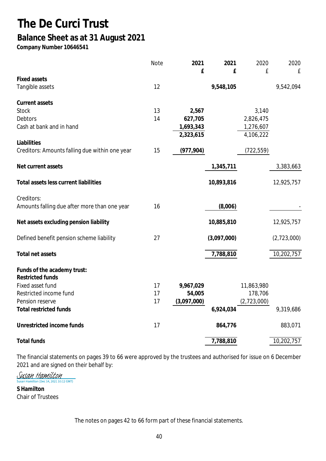## **The De Curci Trust Balance Sheet as at 31 August 2021**

**Company Number 10646541**

|                                                | <b>Note</b> | 2021        | 2021        | 2020        | 2020        |
|------------------------------------------------|-------------|-------------|-------------|-------------|-------------|
| <b>Fixed assets</b>                            |             | £           | £           | £           | £           |
| Tangible assets                                | 12          |             | 9,548,105   |             | 9,542,094   |
|                                                |             |             |             |             |             |
| Current assets                                 |             |             |             |             |             |
| Stock                                          | 13          | 2,567       |             | 3,140       |             |
| <b>Debtors</b>                                 | 14          | 627,705     |             | 2,826,475   |             |
| Cash at bank and in hand                       |             | 1,693,343   |             | 1,276,607   |             |
|                                                |             | 2,323,615   |             | 4,106,222   |             |
| Liabilities                                    |             |             |             |             |             |
| Creditors: Amounts falling due within one year | 15          | (977, 904)  |             | (722, 559)  |             |
| Net current assets                             |             |             | 1,345,711   |             | 3,383,663   |
|                                                |             |             |             |             |             |
| Total assets less current liabilities          |             |             | 10,893,816  |             | 12,925,757  |
| Creditors:                                     |             |             |             |             |             |
| Amounts falling due after more than one year   | 16          |             | (8,006)     |             |             |
| Net assets excluding pension liability         |             |             | 10,885,810  |             | 12,925,757  |
| Defined benefit pension scheme liability       | 27          |             | (3,097,000) |             | (2,723,000) |
| Total net assets                               |             |             | 7,788,810   |             | 10,202,757  |
|                                                |             |             |             |             |             |
| Funds of the academy trust:                    |             |             |             |             |             |
| <b>Restricted funds</b>                        |             |             |             |             |             |
| Fixed asset fund                               | 17          | 9,967,029   |             | 11,863,980  |             |
| Restricted income fund                         | 17          | 54,005      |             | 178,706     |             |
| Pension reserve                                | 17          | (3,097,000) |             | (2,723,000) |             |
| <b>Total restricted funds</b>                  |             |             | 6,924,034   |             | 9,319,686   |
| Unrestricted income funds                      | 17          |             | 864,776     |             | 883,071     |
| <b>Total funds</b>                             |             |             | 7,788,810   |             | 10,202,757  |

The financial statements on pages 39 to 66 were approved by the trustees and authorised for issue on 6 December 2021 and are signed on their behalf by:

<u>Susan Hamilton</u> Hamilton (Dec 14, 2021 10:12 GMT)

**S Hamilton** Chair of Trustees

The notes on pages 42 to 66 form part of these financial statements.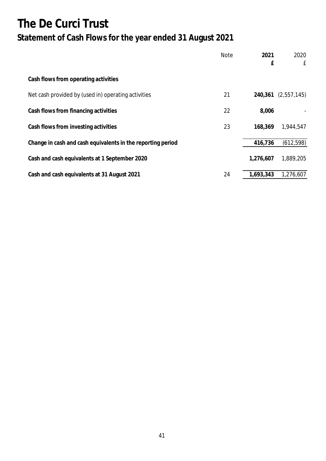## **The De Curci Trust Statement of Cash Flows for the year ended 31 August 2021**

|                                                             | <b>Note</b> | 2021<br>£ | 2020<br>£   |
|-------------------------------------------------------------|-------------|-----------|-------------|
| Cash flows from operating activities                        |             |           |             |
| Net cash provided by (used in) operating activities         | 21          | 240,361   | (2,557,145) |
| Cash flows from financing activities                        | 22          | 8,006     |             |
| Cash flows from investing activities                        | 23          | 168,369   | 1,944,547   |
| Change in cash and cash equivalents in the reporting period |             | 416,736   | (612, 598)  |
| Cash and cash equivalents at 1 September 2020               |             | 1,276,607 | 1,889,205   |
| Cash and cash equivalents at 31 August 2021                 | 24          | 1,693,343 | 1,276,607   |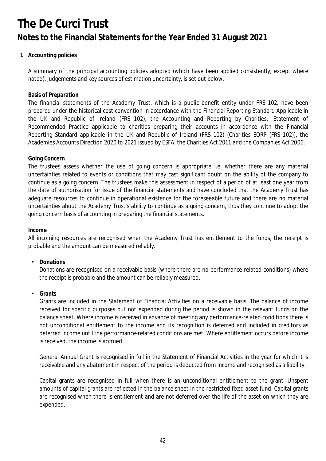### **1 Accounting policies**

A summary of the principal accounting policies adopted (which have been applied consistently, except where noted), judgements and key sources of estimation uncertainty, is set out below.

### **Basis of Preparation**

The financial statements of the Academy Trust, which is a public benefit entity under FRS 102, have been prepared under the historical cost convention in accordance with the Financial Reporting Standard Applicable in the UK and Republic of Ireland (FRS 102), the Accounting and Reporting by Charities: Statement of Recommended Practice applicable to charities preparing their accounts in accordance with the Financial Reporting Standard applicable in the UK and Republic of Ireland (FRS 102) (Charities SORP (FRS 102)), the Academies Accounts Direction 2020 to 2021 issued by ESFA, the Charities Act 2011 and the Companies Act 2006.

### **Going Concern**

The trustees assess whether the use of going concern is appropriate i.e. whether there are any material uncertainties related to events or conditions that may cast significant doubt on the ability of the company to continue as a going concern. The trustees make this assessment in respect of a period of at least one year from the date of authorisation for issue of the financial statements and have concluded that the Academy Trust has adequate resources to continue in operational existence for the foreseeable future and there are no material uncertainties about the Academy Trust's ability to continue as a going concern, thus they continue to adopt the going concern basis of accounting in preparing the financial statements.

**Income**

All incoming resources are recognised when the Academy Trust has entitlement to the funds, the receipt is probable and the amount can be measured reliably.

• **Donations**

Donations are recognised on a receivable basis (where there are no performance-related conditions) where the receipt is probable and the amount can be reliably measured.

• **Grants**

Grants are included in the Statement of Financial Activities on a receivable basis. The balance of income received for specific purposes but not expended during the period is shown in the relevant funds on the balance sheet. Where income is received in advance of meeting any performance-related conditions there is not unconditional entitlement to the income and its recognition is deferred and included in creditors as deferred income until the performance-related conditions are met. Where entitlement occurs before income is received, the income is accrued.

General Annual Grant is recognised in full in the Statement of Financial Activities in the year for which it is receivable and any abatement in respect of the period is deducted from income and recognised as a liability.

Capital grants are recognised in full when there is an unconditional entitlement to the grant. Unspent amounts of capital grants are reflected in the balance sheet in the restricted fixed asset fund. Capital grants are recognised when there is entitlement and are not deferred over the life of the asset on which they are expended.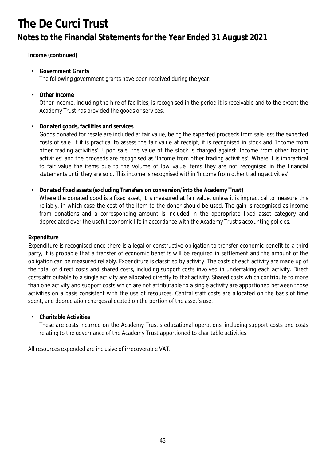**Income (continued)**

- **Government Grants** The following government grants have been received during the year:
- **Other Income**

Other income, including the hire of facilities, is recognised in the period it is receivable and to the extent the Academy Trust has provided the goods or services.

• **Donated goods, facilities and services**

Goods donated for resale are included at fair value, being the expected proceeds from sale less the expected costs of sale. If it is practical to assess the fair value at receipt, it is recognised in stock and 'Income from other trading activities'. Upon sale, the value of the stock is charged against 'Income from other trading activities' and the proceeds are recognised as 'Income from other trading activities'. Where it is impractical to fair value the items due to the volume of low value items they are not recognised in the financial statements until they are sold. This income is recognised within 'Income from other trading activities'.

• **Donated fixed assets (excluding Transfers on conversion/into the Academy Trust)**

Where the donated good is a fixed asset, it is measured at fair value, unless it is impractical to measure this reliably, in which case the cost of the item to the donor should be used. The gain is recognised as income from donations and a corresponding amount is included in the appropriate fixed asset category and depreciated over the useful economic life in accordance with the Academy Trust's accounting policies.

### **Expenditure**

Expenditure is recognised once there is a legal or constructive obligation to transfer economic benefit to a third party, it is probable that a transfer of economic benefits will be required in settlement and the amount of the obligation can be measured reliably. Expenditure is classified by activity. The costs of each activity are made up of the total of direct costs and shared costs, including support costs involved in undertaking each activity. Direct costs attributable to a single activity are allocated directly to that activity. Shared costs which contribute to more than one activity and support costs which are not attributable to a single activity are apportioned between those activities on a basis consistent with the use of resources. Central staff costs are allocated on the basis of time spent, and depreciation charges allocated on the portion of the asset's use.

• **Charitable Activities**

These are costs incurred on the Academy Trust's educational operations, including support costs and costs relating to the governance of the Academy Trust apportioned to charitable activities.

All resources expended are inclusive of irrecoverable VAT.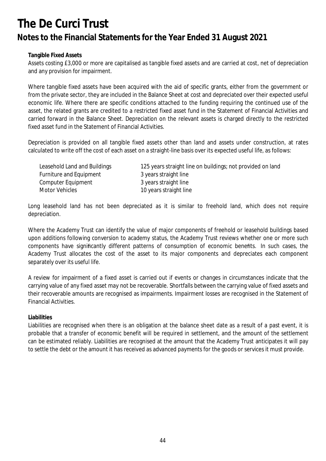### **Tangible Fixed Assets**

Assets costing £3,000 or more are capitalised as tangible fixed assets and are carried at cost, net of depreciation and any provision for impairment.

Where tangible fixed assets have been acquired with the aid of specific grants, either from the government or from the private sector, they are included in the Balance Sheet at cost and depreciated over their expected useful economic life. Where there are specific conditions attached to the funding requiring the continued use of the asset, the related grants are credited to a restricted fixed asset fund in the Statement of Financial Activities and carried forward in the Balance Sheet. Depreciation on the relevant assets is charged directly to the restricted fixed asset fund in the Statement of Financial Activities.

Depreciation is provided on all tangible fixed assets other than land and assets under construction, at rates calculated to write off the cost of each asset on a straight-line basis over its expected useful life, as follows:

| Leasehold Land and Buildings | 125 years straight line on buildings; not provided on land |
|------------------------------|------------------------------------------------------------|
| Furniture and Equipment      | 3 years straight line                                      |
| Computer Equipment           | 3 years straight line                                      |
| Motor Vehicles               | 10 years straight line                                     |

Long leasehold land has not been depreciated as it is similar to freehold land, which does not require depreciation.

Where the Academy Trust can identify the value of major components of freehold or leasehold buildings based upon additions following conversion to academy status, the Academy Trust reviews whether one or more such components have significantly different patterns of consumption of economic benefits. In such cases, the Academy Trust allocates the cost of the asset to its major components and depreciates each component separately over its useful life.

A review for impairment of a fixed asset is carried out if events or changes in circumstances indicate that the carrying value of any fixed asset may not be recoverable. Shortfalls between the carrying value of fixed assets and their recoverable amounts are recognised as impairments. Impairment losses are recognised in the Statement of Financial Activities.

### **Liabilities**

Liabilities are recognised when there is an obligation at the balance sheet date as a result of a past event, it is probable that a transfer of economic benefit will be required in settlement, and the amount of the settlement can be estimated reliably. Liabilities are recognised at the amount that the Academy Trust anticipates it will pay to settle the debt or the amount it has received as advanced payments for the goods or services it must provide.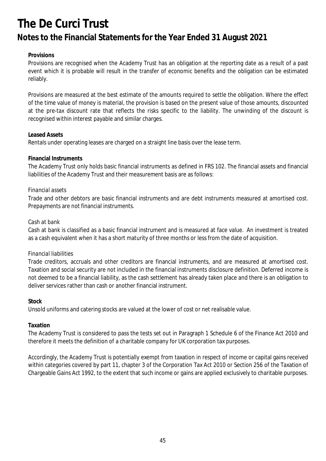### **Provisions**

Provisions are recognised when the Academy Trust has an obligation at the reporting date as a result of a past event which it is probable will result in the transfer of economic benefits and the obligation can be estimated reliably.

Provisions are measured at the best estimate of the amounts required to settle the obligation. Where the effect of the time value of money is material, the provision is based on the present value of those amounts, discounted at the pre-tax discount rate that reflects the risks specific to the liability. The unwinding of the discount is recognised within interest payable and similar charges.

### **Leased Assets**

Rentals under operating leases are charged on a straight line basis over the lease term.

### **Financial Instruments**

The Academy Trust only holds basic financial instruments as defined in FRS 102. The financial assets and financial liabilities of the Academy Trust and their measurement basis are as follows:

### *Financial assets*

Trade and other debtors are basic financial instruments and are debt instruments measured at amortised cost. Prepayments are not financial instruments.

### *Cash at bank*

Cash at bank is classified as a basic financial instrument and is measured at face value. An investment is treated as a cash equivalent when it has a short maturity of three months or less from the date of acquisition.

#### *Financial liabilities*

Trade creditors, accruals and other creditors are financial instruments, and are measured at amortised cost. Taxation and social security are not included in the financial instruments disclosure definition. Deferred income is not deemed to be a financial liability, as the cash settlement has already taken place and there is an obligation to deliver services rather than cash or another financial instrument.

#### **Stock**

Unsold uniforms and catering stocks are valued at the lower of cost or net realisable value.

### **Taxation**

The Academy Trust is considered to pass the tests set out in Paragraph 1 Schedule 6 of the Finance Act 2010 and therefore it meets the definition of a charitable company for UK corporation tax purposes.

Accordingly, the Academy Trust is potentially exempt from taxation in respect of income or capital gains received within categories covered by part 11, chapter 3 of the Corporation Tax Act 2010 or Section 256 of the Taxation of Chargeable Gains Act 1992, to the extent that such income or gains are applied exclusively to charitable purposes.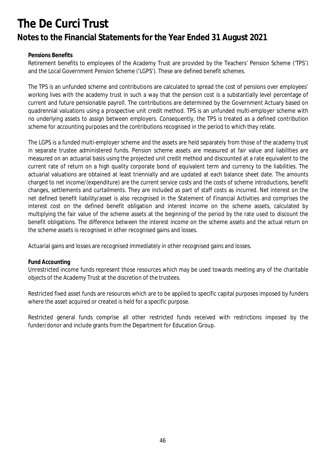### **Pensions Benefits**

Retirement benefits to employees of the Academy Trust are provided by the Teachers' Pension Scheme ('TPS') and the Local Government Pension Scheme ('LGPS'). These are defined benefit schemes.

The TPS is an unfunded scheme and contributions are calculated to spread the cost of pensions over employees' working lives with the academy trust in such a way that the pension cost is a substantially level percentage of current and future pensionable payroll. The contributions are determined by the Government Actuary based on quadrennial valuations using a prospective unit credit method. TPS is an unfunded multi-employer scheme with no underlying assets to assign between employers. Consequently, the TPS is treated as a defined contribution scheme for accounting purposes and the contributions recognised in the period to which they relate.

The LGPS is a funded multi-employer scheme and the assets are held separately from those of the academy trust in separate trustee administered funds. Pension scheme assets are measured at fair value and liabilities are measured on an actuarial basis using the projected unit credit method and discounted at a rate equivalent to the current rate of return on a high quality corporate bond of equivalent term and currency to the liabilities. The actuarial valuations are obtained at least triennially and are updated at each balance sheet date. The amounts charged to net income/(expenditure) are the current service costs and the costs of scheme introductions, benefit changes, settlements and curtailments. They are included as part of staff costs as incurred. Net interest on the net defined benefit liability/asset is also recognised in the Statement of Financial Activities and comprises the interest cost on the defined benefit obligation and interest income on the scheme assets, calculated by multiplying the fair value of the scheme assets at the beginning of the period by the rate used to discount the benefit obligations. The difference between the interest income on the scheme assets and the actual return on the scheme assets is recognised in other recognised gains and losses.

Actuarial gains and losses are recognised immediately in other recognised gains and losses.

### **Fund Accounting**

Unrestricted income funds represent those resources which may be used towards meeting any of the charitable objects of the Academy Trust at the discretion of the trustees.

Restricted fixed asset funds are resources which are to be applied to specific capital purposes imposed by funders where the asset acquired or created is held for a specific purpose.

Restricted general funds comprise all other restricted funds received with restrictions imposed by the funder/donor and include grants from the Department for Education Group.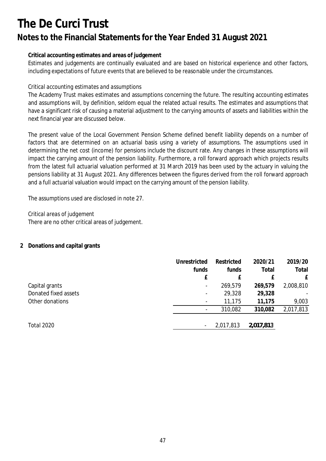## **Notes to the Financial Statements for the Year Ended 31 August 2021**

### **Critical accounting estimates and areas of judgement**

Estimates and judgements are continually evaluated and are based on historical experience and other factors, including expectations of future events that are believed to be reasonable under the circumstances.

### *Critical accounting estimates and assumptions*

The Academy Trust makes estimates and assumptions concerning the future. The resulting accounting estimates and assumptions will, by definition, seldom equal the related actual results. The estimates and assumptions that have a significant risk of causing a material adjustment to the carrying amounts of assets and liabilities within the next financial year are discussed below.

The present value of the Local Government Pension Scheme defined benefit liability depends on a number of factors that are determined on an actuarial basis using a variety of assumptions. The assumptions used in determining the net cost (income) for pensions include the discount rate. Any changes in these assumptions will impact the carrying amount of the pension liability. Furthermore, a roll forward approach which projects results from the latest full actuarial valuation performed at 31 March 2019 has been used by the actuary in valuing the pensions liability at 31 August 2021. Any differences between the figures derived from the roll forward approach and a full actuarial valuation would impact on the carrying amount of the pension liability.

The assumptions used are disclosed in note 27.

*Critical areas of judgement* There are no other critical areas of judgement.

#### **2 Donations and capital grants**

|                                        | Unrestricted<br>funds                                     | Restricted<br>funds | 2020/21<br>Total       | 2019/20<br>Total     |
|----------------------------------------|-----------------------------------------------------------|---------------------|------------------------|----------------------|
| Capital grants<br>Donated fixed assets | £<br>$\overline{\phantom{a}}$<br>$\overline{\phantom{a}}$ | 269,579<br>29,328   | f<br>269,579<br>29,328 | f<br>2,008,810<br>Ξ. |
| Other donations                        | $\overline{\phantom{a}}$                                  | 11,175<br>310,082   | 11,175<br>310,082      | 9,003<br>2,017,813   |
| <b>Total 2020</b>                      | $\overline{\phantom{a}}$                                  | 2,017,813           | 2,017,813              |                      |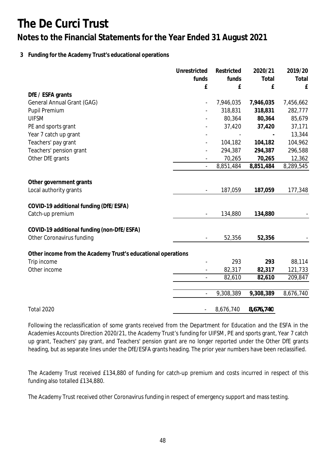### **3 Funding for the Academy Trust's educational operations**

|                                                                         | Unrestricted             | Restricted | 2020/21   | 2019/20   |
|-------------------------------------------------------------------------|--------------------------|------------|-----------|-----------|
|                                                                         | funds                    | funds      | Total     | Total     |
|                                                                         | £                        | £          | £         | £         |
| DfE / ESFA grants                                                       |                          |            |           |           |
| General Annual Grant (GAG)                                              |                          | 7,946,035  | 7,946,035 | 7,456,662 |
| Pupil Premium                                                           |                          | 318,831    | 318,831   | 282,777   |
| <b>UIFSM</b>                                                            |                          | 80,364     | 80,364    | 85,679    |
| PE and sports grant                                                     |                          | 37,420     | 37,420    | 37,171    |
| Year 7 catch up grant                                                   |                          |            |           | 13,344    |
| Teachers' pay grant                                                     |                          | 104,182    | 104,182   | 104,962   |
| Teachers' pension grant                                                 |                          | 294,387    | 294,387   | 296,588   |
| Other DfE grants                                                        |                          | 70,265     | 70,265    | 12,362    |
|                                                                         |                          | 8,851,484  | 8,851,484 | 8,289,545 |
|                                                                         |                          |            |           |           |
| Other government grants<br>Local authority grants                       | $\overline{\phantom{a}}$ | 187,059    | 187,059   | 177,348   |
|                                                                         |                          |            |           |           |
| COVID-19 additional funding (DfE/ESFA)                                  |                          |            |           |           |
| Catch-up premium                                                        |                          | 134,880    | 134,880   |           |
|                                                                         |                          |            |           |           |
| COVID-19 additional funding (non-DfE/ESFA)<br>Other Coronavirus funding |                          | 52,356     | 52,356    |           |
|                                                                         |                          |            |           |           |
| Other income from the Academy Trust's educational operations            |                          |            |           |           |
| Trip income                                                             |                          | 293        | 293       | 88,114    |
| Other income                                                            |                          | 82,317     | 82,317    | 121,733   |
|                                                                         |                          | 82,610     | 82,610    | 209,847   |
|                                                                         |                          |            |           |           |
|                                                                         |                          | 9,308,389  | 9,308,389 | 8,676,740 |
| Total 2020                                                              |                          | 8,676,740  | 8,676,740 |           |

Following the reclassification of some grants received from the Department for Education and the ESFA in the Academies Accounts Direction 2020/21, the Academy Trust's funding for UIFSM, PE and sports grant, Year 7 catch up grant, Teachers' pay grant, and Teachers' pension grant are no longer reported under the Other DfE grants heading, but as separate lines under the DfE/ESFA grants heading. The prior year numbers have been reclassified.

The Academy Trust received £134,880 of funding for catch-up premium and costs incurred in respect of this funding also totalled £134,880.

The Academy Trust received other Coronavirus funding in respect of emergency support and mass testing.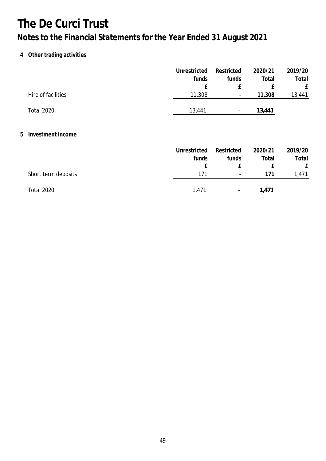## **4 Other trading activities**

|                     | Unrestricted | Restricted               | 2020/21 | 2019/20 |
|---------------------|--------------|--------------------------|---------|---------|
|                     | funds        | funds                    | Total   | Total   |
|                     | £            | £                        | £       | £       |
| Hire of facilities  | 11,308       | $\overline{\phantom{a}}$ | 11,308  | 13,441  |
| <b>Total 2020</b>   | 13,441       | $\overline{\phantom{a}}$ | 13,441  |         |
|                     |              |                          |         |         |
| 5 Investment income |              |                          |         |         |
|                     | Unrestricted | Restricted               | 2020/21 | 2019/20 |
|                     | funds        | funds                    | Total   | Total   |
|                     | £            | £                        | £       | £       |
| Short term deposits | 171          | $\overline{\phantom{a}}$ | 171     | 1,471   |
| <b>Total 2020</b>   | 1,471        | $\overline{\phantom{a}}$ | 1,471   |         |
|                     |              |                          |         |         |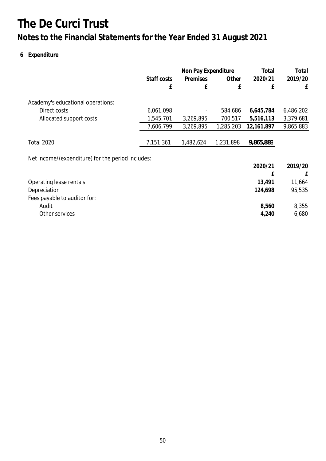## **Notes to the Financial Statements for the Year Ended 31 August 2021**

## **6 Expenditure**

|                                                   |             | Non Pay Expenditure |           | Total      | Total     |
|---------------------------------------------------|-------------|---------------------|-----------|------------|-----------|
|                                                   | Staff costs | Premises            | Other     | 2020/21    | 2019/20   |
|                                                   | £           | £                   | £         | £          | £         |
| Academy's educational operations:                 |             |                     |           |            |           |
| Direct costs                                      | 6,061,098   |                     | 584,686   | 6,645,784  | 6,486,202 |
| Allocated support costs                           | 1,545,701   | 3,269,895           | 700,517   | 5,516,113  | 3,379,681 |
|                                                   | 7,606,799   | 3,269,895           | 1,285,203 | 12,161,897 | 9,865,883 |
| <b>Total 2020</b>                                 | 7,151,361   | 1,482,624           | 1,231,898 | 9,865,883  |           |
| Net income/(expenditure) for the period includes: |             |                     |           |            |           |
|                                                   |             |                     |           | 2020/21    | 2019/20   |
|                                                   |             |                     |           | £          | £         |
| Operating lease rentals                           |             |                     |           | 13,491     | 11,664    |
| Depreciation                                      |             |                     |           | 124,698    | 95,535    |
| Fees payable to auditor for:                      |             |                     |           |            |           |
| Audit                                             |             |                     |           | 8,560      | 8,355     |
| Other services                                    |             |                     |           | 4,240      | 6,680     |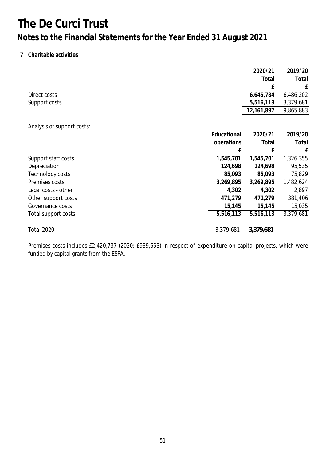### **7 Charitable activities**

|                            |             | 2020/21    | 2019/20   |
|----------------------------|-------------|------------|-----------|
|                            |             | Total      | Total     |
|                            |             | £          | £         |
| Direct costs               |             | 6,645,784  | 6,486,202 |
| Support costs              |             | 5,516,113  | 3,379,681 |
|                            |             | 12,161,897 | 9,865,883 |
|                            |             |            |           |
| Analysis of support costs: |             |            |           |
|                            | Educational | 2020/21    | 2019/20   |
|                            | operations  | Total      | Total     |
|                            | £           | £          | £         |
| Support staff costs        | 1,545,701   | 1,545,701  | 1,326,355 |
| Depreciation               | 124,698     | 124,698    | 95,535    |
| Technology costs           | 85,093      | 85,093     | 75,829    |
| Premises costs             | 3,269,895   | 3,269,895  | 1,482,624 |
| Legal costs - other        | 4,302       | 4,302      | 2,897     |
| Other support costs        | 471,279     | 471,279    | 381,406   |
| Governance costs           | 15,145      | 15,145     | 15,035    |
| Total support costs        | 5,516,113   | 5,516,113  | 3,379,681 |
| <b>Total 2020</b>          | 3,379,681   | 3,379,681  |           |

Premises costs includes £2,420,737 (2020: £939,553) in respect of expenditure on capital projects, which were funded by capital grants from the ESFA.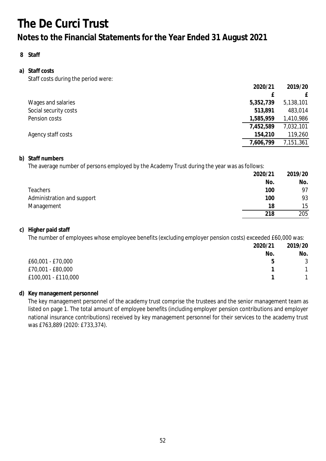### **8 Staff**

### **a) Staff costs** Staff costs during the period were:

|                       | 2020/21   | 2019/20   |
|-----------------------|-----------|-----------|
|                       |           |           |
| Wages and salaries    | 5,352,739 | 5,138,101 |
| Social security costs | 513,891   | 483,014   |
| Pension costs         | 1,585,959 | 1,410,986 |
|                       | 7,452,589 | 7,032,101 |
| Agency staff costs    | 154,210   | 119,260   |
|                       | 7,606,799 | 7,151,361 |

### **b) Staff numbers**

The average number of persons employed by the Academy Trust during the year was as follows:

|                            | 2020/21 | 2019/20 |
|----------------------------|---------|---------|
|                            | No.     | No.     |
| <b>Teachers</b>            | 100     | 97      |
| Administration and support | 100     | 93      |
| Management                 | 18      | 15      |
|                            | 218     | 205     |

### **c) Higher paid staff**

The number of employees whose employee benefits (excluding employer pension costs) exceeded £60,000 was:

|                     | 2020/21 | 2019/20 |
|---------------------|---------|---------|
|                     | No.     | No.     |
| £60,001 - £70,000   | b       | 3       |
| £70,001 - £80,000   |         |         |
| £100,001 - £110,000 |         |         |

### **d) Key management personnel**

The key management personnel of the academy trust comprise the trustees and the senior management team as listed on page 1. The total amount of employee benefits (including employer pension contributions and employer national insurance contributions) received by key management personnel for their services to the academy trust was £763,889 (2020: £733,374).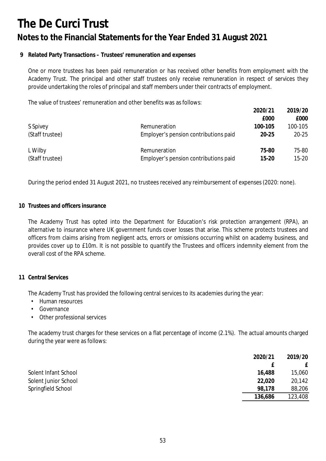### **9 Related Party Transactions – Trustees' remuneration and expenses**

One or more trustees has been paid remuneration or has received other benefits from employment with the Academy Trust. The principal and other staff trustees only receive remuneration in respect of services they provide undertaking the roles of principal and staff members under their contracts of employment.

The value of trustees' remuneration and other benefits was as follows:

|                 |                                       | 2020/21   | 2019/20   |
|-----------------|---------------------------------------|-----------|-----------|
|                 |                                       | £000      | £000      |
| S Spivey        | Remuneration                          | 100-105   | 100-105   |
| (Staff trustee) | Employer's pension contributions paid | $20 - 25$ | $20 - 25$ |
| L Wilby         | Remuneration                          | 75-80     | 75-80     |
| (Staff trustee) | Employer's pension contributions paid | $15 - 20$ | $15 - 20$ |

During the period ended 31 August 2021, no trustees received any reimbursement of expenses (2020: none).

#### **10 Trustees and officers insurance**

The Academy Trust has opted into the Department for Education's risk protection arrangement (RPA), an alternative to insurance where UK government funds cover losses that arise. This scheme protects trustees and officers from claims arising from negligent acts, errors or omissions occurring whilst on academy business, and provides cover up to £10m. It is not possible to quantify the Trustees and officers indemnity element from the overall cost of the RPA scheme.

#### **11 Central Services**

The Academy Trust has provided the following central services to its academies during the year:

- *•* Human resources
- *•* Governance
- *•* Other professional services

The academy trust charges for these services on a flat percentage of income (2.1%). The actual amounts charged during the year were as follows:

|                      | 2020/21 | 2019/20 |
|----------------------|---------|---------|
|                      |         |         |
| Solent Infant School | 16,488  | 15,060  |
| Solent Junior School | 22,020  | 20,142  |
| Springfield School   | 98,178  | 88,206  |
|                      | 136,686 | 123,408 |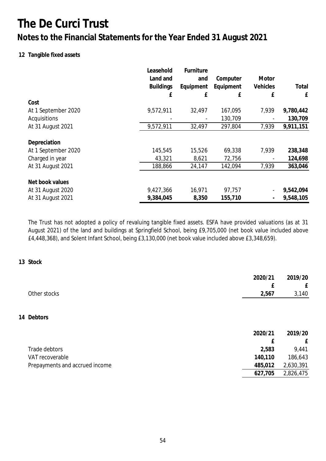## **Notes to the Financial Statements for the Year Ended 31 August 2021**

### **12 Tangible fixed assets**

|                                     | Leasehold<br>Land and<br><b>Buildings</b><br>£ | Furniture<br>and<br>Equipment<br>£ | Computer<br>Equipment<br>£ | Motor<br>Vehicles<br>£ | Total<br>£ |
|-------------------------------------|------------------------------------------------|------------------------------------|----------------------------|------------------------|------------|
| Cost                                |                                                |                                    |                            |                        |            |
| At 1 September 2020                 | 9,572,911                                      | 32,497                             | 167,095                    | 7,939                  | 9,780,442  |
| Acquisitions                        |                                                |                                    | 130,709                    |                        | 130,709    |
| At 31 August 2021                   | 9,572,911                                      | 32,497                             | 297,804                    | 7,939                  | 9,911,151  |
| Depreciation<br>At 1 September 2020 | 145,545                                        | 15,526                             | 69,338                     | 7,939                  | 238,348    |
| Charged in year                     | 43,321                                         | 8,621                              | 72,756                     |                        | 124,698    |
| At 31 August 2021                   | 188,866                                        | 24,147                             | 142,094                    | 7,939                  | 363,046    |
| Net book values                     |                                                |                                    |                            |                        |            |
| At 31 August 2020                   | 9,427,366                                      | 16,971                             | 97,757                     |                        | 9,542,094  |
| At 31 August 2021                   | 9,384,045                                      | 8,350                              | 155,710                    |                        | 9,548,105  |

The Trust has not adopted a policy of revaluing tangible fixed assets. ESFA have provided valuations (as at 31 August 2021) of the land and buildings at Springfield School, being £9,705,000 (net book value included above £4,448,368), and Solent Infant School, being £3,130,000 (net book value included above £3,348,659).

**13 Stock**

|                                | 2020/21 | 2019/20   |
|--------------------------------|---------|-----------|
|                                | Ł       | £         |
| Other stocks                   | 2,567   | 3,140     |
|                                |         |           |
| 14 Debtors                     |         |           |
|                                | 2020/21 | 2019/20   |
|                                | f       | £         |
| Trade debtors                  | 2,583   | 9,441     |
| VAT recoverable                | 140,110 | 186,643   |
| Prepayments and accrued income | 485,012 | 2,630,391 |
|                                | 627,705 | 2,826,475 |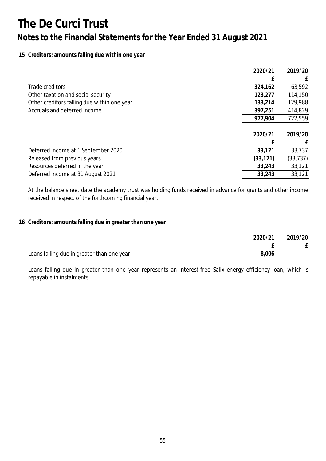### **15 Creditors: amounts falling due within one year**

|                                             | 2020/21   | 2019/20   |
|---------------------------------------------|-----------|-----------|
|                                             |           | £         |
| Trade creditors                             | 324,162   | 63,592    |
| Other taxation and social security          | 123,277   | 114,150   |
| Other creditors falling due within one year | 133,214   | 129,988   |
| Accruals and deferred income                | 397,251   | 414,829   |
|                                             | 977,904   | 722,559   |
|                                             |           |           |
|                                             | 2020/21   | 2019/20   |
|                                             | f         | f         |
| Deferred income at 1 September 2020         | 33,121    | 33,737    |
| Released from previous years                | (33, 121) | (33, 737) |
| Resources deferred in the year              | 33,243    | 33,121    |
| Deferred income at 31 August 2021           | 33,243    | 33,121    |

At the balance sheet date the academy trust was holding funds received in advance for grants and other income received in respect of the forthcoming financial year.

### **16 Creditors: amounts falling due in greater than one year**

|                                            | 2020/21 | 2019/20                  |
|--------------------------------------------|---------|--------------------------|
|                                            |         |                          |
| Loans falling due in greater than one year | 8,006   | $\overline{\phantom{a}}$ |

Loans falling due in greater than one year represents an interest-free Salix energy efficiency loan, which is repayable in instalments.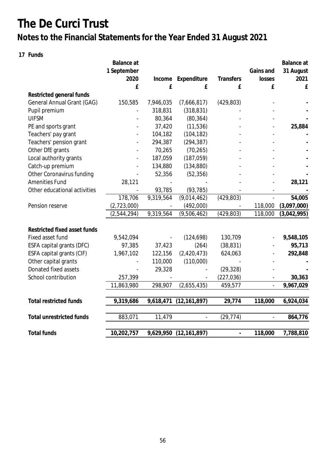## **Notes to the Financial Statements for the Year Ended 31 August 2021**

**17 Funds**

|                                 | Balance at<br>1 September |           |                |                          | Gains and      | Balance at<br>31 August |
|---------------------------------|---------------------------|-----------|----------------|--------------------------|----------------|-------------------------|
|                                 | 2020                      | Income    | Expenditure    | Transfers                | losses         | 2021                    |
|                                 | £                         | £         | £              | £                        | £              | £                       |
| Restricted general funds        |                           |           |                |                          |                |                         |
| General Annual Grant (GAG)      | 150,585                   | 7,946,035 | (7,666,817)    | (429, 803)               |                |                         |
| Pupil premium                   |                           | 318,831   | (318, 831)     |                          |                |                         |
| <b>UIFSM</b>                    |                           | 80,364    | (80, 364)      |                          |                |                         |
| PE and sports grant             |                           | 37,420    | (11, 536)      |                          |                | 25,884                  |
| Teachers' pay grant             |                           | 104,182   | (104, 182)     |                          |                |                         |
| Teachers' pension grant         |                           | 294,387   | (294, 387)     |                          |                |                         |
| Other DfE grants                |                           | 70,265    | (70, 265)      |                          |                |                         |
| Local authority grants          |                           | 187,059   | (187, 059)     |                          |                |                         |
| Catch-up premium                |                           | 134,880   | (134, 880)     |                          |                |                         |
| Other Coronavirus funding       |                           | 52,356    | (52, 356)      |                          |                |                         |
| <b>Amenities Fund</b>           | 28,121                    |           |                |                          |                | 28,121                  |
| Other educational activities    |                           | 93,785    | (93, 785)      |                          |                |                         |
|                                 | 178,706                   | 9,319,564 | (9,014,462)    | (429, 803)               |                | 54,005                  |
| Pension reserve                 | (2,723,000)               |           | (492,000)      |                          | 118,000        | (3,097,000)             |
|                                 | (2,544,294)               | 9,319,564 | (9,506,462)    | (429, 803)               | 118,000        | (3,042,995)             |
|                                 |                           |           |                |                          |                |                         |
| Restricted fixed asset funds    |                           |           |                |                          |                |                         |
| Fixed asset fund                | 9,542,094                 |           | (124, 698)     | 130,709                  |                | 9,548,105               |
| ESFA capital grants (DFC)       | 97,385                    | 37,423    | (264)          | (38, 831)                |                | 95,713                  |
| ESFA capital grants (CIF)       | 1,967,102                 | 122,156   | (2, 420, 473)  | 624,063                  |                | 292,848                 |
| Other capital grants            |                           | 110,000   | (110,000)      |                          |                |                         |
| Donated fixed assets            |                           | 29,328    |                | (29, 328)                |                |                         |
| School contribution             | 257,399                   |           |                | (227, 036)               |                | 30,363                  |
|                                 | 11,863,980                | 298,907   | (2,655,435)    | 459,577                  |                | 9,967,029               |
| <b>Total restricted funds</b>   | 9,319,686                 | 9,618,471 | (12, 161, 897) | 29,774                   | 118,000        | 6,924,034               |
| <b>Total unrestricted funds</b> | 883,071                   | 11,479    | $\blacksquare$ | (29, 774)                | $\blacksquare$ | 864,776                 |
|                                 |                           |           |                |                          |                |                         |
| <b>Total funds</b>              | 10,202,757                | 9,629,950 | (12, 161, 897) | $\overline{\phantom{m}}$ | 118,000        | 7,788,810               |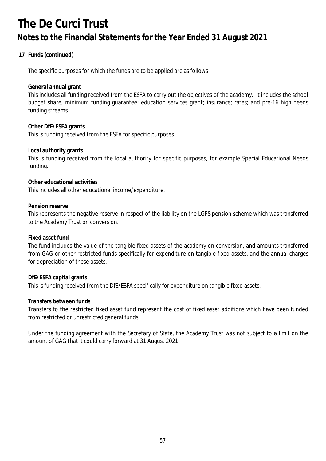## **17 Funds (continued)**

The specific purposes for which the funds are to be applied are as follows:

**General annual grant**

This includes all funding received from the ESFA to carry out the objectives of the academy. It includes the school budget share; minimum funding guarantee; education services grant; insurance; rates; and pre-16 high needs funding streams.

**Other DfE/ESFA grants** This is funding received from the ESFA for specific purposes.

**Local authority grants**

This is funding received from the local authority for specific purposes, for example Special Educational Needs funding.

**Other educational activities**

This includes all other educational income/expenditure.

**Pension reserve**

This represents the negative reserve in respect of the liability on the LGPS pension scheme which was transferred to the Academy Trust on conversion.

**Fixed asset fund**

The fund includes the value of the tangible fixed assets of the academy on conversion, and amounts transferred from GAG or other restricted funds specifically for expenditure on tangible fixed assets, and the annual charges for depreciation of these assets.

**DfE/ESFA capital grants** This is funding received from the DfE/ESFA specifically for expenditure on tangible fixed assets.

**Transfers between funds**

Transfers to the restricted fixed asset fund represent the cost of fixed asset additions which have been funded from restricted or unrestricted general funds.

Under the funding agreement with the Secretary of State, the Academy Trust was not subject to a limit on the amount of GAG that it could carry forward at 31 August 2021.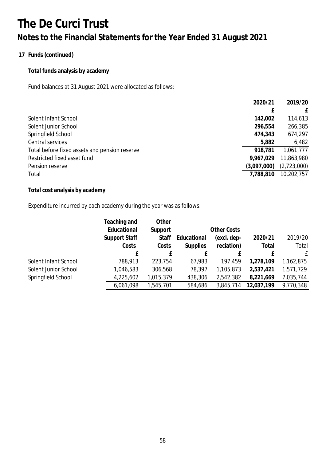## **17 Funds (continued)**

**Total funds analysis by academy**

Fund balances at 31 August 2021 were allocated as follows:

|                                               | 2020/21     | 2019/20      |
|-----------------------------------------------|-------------|--------------|
|                                               | f           | $\mathbf{f}$ |
| Solent Infant School                          | 142,002     | 114,613      |
| Solent Junior School                          | 296,554     | 266,385      |
| Springfield School                            | 474,343     | 674,297      |
| Central services                              | 5,882       | 6,482        |
| Total before fixed assets and pension reserve | 918,781     | 1,061,777    |
| Restricted fixed asset fund                   | 9,967,029   | 11,863,980   |
| Pension reserve                               | (3,097,000) | (2,723,000)  |
| Total                                         | 7,788,810   | 10,202,757   |
|                                               |             |              |

**Total cost analysis by academy**

Expenditure incurred by each academy during the year was as follows:

|                      | Teaching and  | Other     |                 |                    |            |           |
|----------------------|---------------|-----------|-----------------|--------------------|------------|-----------|
|                      | Educational   | Support   |                 | <b>Other Costs</b> |            |           |
|                      | Support Staff | Staff     | Educational     | (excl. dep-        | 2020/21    | 2019/20   |
|                      | Costs         | Costs     | <b>Supplies</b> | reciation)         | Total      | Total     |
|                      | £             | £         | f               | f                  |            | £         |
| Solent Infant School | 788,913       | 223,754   | 67,983          | 197,459            | 1,278,109  | 1,162,875 |
| Solent Junior School | 1,046,583     | 306,568   | 78,397          | 1,105,873          | 2,537,421  | 1,571,729 |
| Springfield School   | 4,225,602     | 1,015,379 | 438,306         | 2,542,382          | 8,221,669  | 7,035,744 |
|                      | 6,061,098     | 1,545,701 | 584,686         | 3,845,714          | 12,037,199 | 9,770,348 |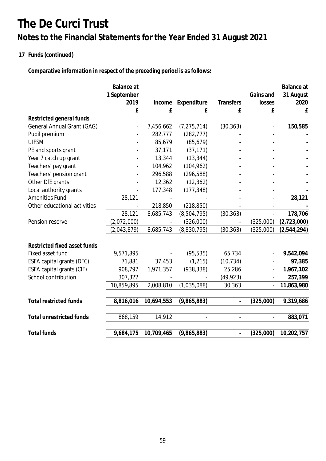## **17 Funds (continued)**

**Comparative information in respect of the preceding period is as follows:**

|                                   | Balance at  |            |               |                          |                | Balance at  |
|-----------------------------------|-------------|------------|---------------|--------------------------|----------------|-------------|
|                                   | 1 September |            |               |                          | Gains and      | 31 August   |
|                                   | 2019        | Income     | Expenditure   | Transfers                | losses         | 2020        |
|                                   | £           | £          | £             | £                        | £              | £           |
| Restricted general funds          |             |            |               |                          |                |             |
| <b>General Annual Grant (GAG)</b> |             | 7,456,662  | (7, 275, 714) | (30, 363)                |                | 150,585     |
| Pupil premium                     |             | 282,777    | (282, 777)    |                          |                |             |
| <b>UIFSM</b>                      |             | 85,679     | (85, 679)     |                          |                |             |
| PE and sports grant               |             | 37,171     | (37, 171)     |                          |                |             |
| Year 7 catch up grant             |             | 13,344     | (13, 344)     |                          |                |             |
| Teachers' pay grant               |             | 104,962    | (104, 962)    |                          |                |             |
| Teachers' pension grant           |             | 296,588    | (296, 588)    |                          |                |             |
| Other DfE grants                  |             | 12,362     | (12, 362)     |                          |                |             |
| Local authority grants            |             | 177,348    | (177, 348)    |                          |                |             |
| <b>Amenities Fund</b>             | 28,121      |            |               |                          |                | 28,121      |
| Other educational activities      |             | 218,850    | (218, 850)    |                          |                |             |
|                                   | 28,121      | 8,685,743  | (8,504,795)   | (30, 363)                |                | 178,706     |
| Pension reserve                   | (2,072,000) |            | (326,000)     |                          | (325,000)      | (2,723,000) |
|                                   | (2,043,879) | 8,685,743  | (8,830,795)   | (30, 363)                | (325,000)      | (2,544,294) |
| Restricted fixed asset funds      |             |            |               |                          |                |             |
| Fixed asset fund                  | 9,571,895   |            | (95, 535)     | 65,734                   |                | 9,542,094   |
| ESFA capital grants (DFC)         | 71,881      | 37,453     | (1, 215)      | (10, 734)                |                | 97,385      |
| ESFA capital grants (CIF)         | 908,797     | 1,971,357  | (938, 338)    | 25,286                   |                | 1,967,102   |
| School contribution               | 307,322     |            |               | (49, 923)                |                | 257,399     |
|                                   | 10,859,895  | 2,008,810  | (1,035,088)   | 30,363                   | $\overline{a}$ | 11,863,980  |
|                                   |             |            |               |                          |                |             |
| <b>Total restricted funds</b>     | 8,816,016   | 10,694,553 | (9,865,883)   | $\blacksquare$           | (325,000)      | 9,319,686   |
| Total unrestricted funds          | 868,159     | 14,912     |               |                          |                | 883,071     |
|                                   |             |            |               |                          |                |             |
| <b>Total funds</b>                | 9,684,175   | 10,709,465 | (9,865,883)   | $\overline{\phantom{a}}$ | (325,000)      | 10,202,757  |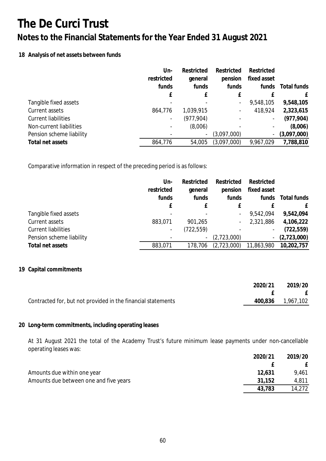### **18 Analysis of net assets between funds**

|                            | Un-        | Restricted               | Restricted               | Restricted               |             |
|----------------------------|------------|--------------------------|--------------------------|--------------------------|-------------|
|                            | restricted | general                  | pension                  | fixed asset              |             |
|                            | funds      | funds                    | funds                    | funds                    | Total funds |
|                            | f          |                          | £                        |                          | £           |
| Tangible fixed assets      |            |                          | $\overline{\phantom{a}}$ | 9,548,105                | 9,548,105   |
| Current assets             | 864,776    | 1,039,915                | $\overline{\phantom{a}}$ | 418,924                  | 2,323,615   |
| <b>Current liabilities</b> |            | (977, 904)               |                          |                          | (977, 904)  |
| Non-current liabilities    |            | (8,006)                  |                          |                          | (8,006)     |
| Pension scheme liability   |            | $\overline{\phantom{a}}$ | (3,097,000)              | $\overline{\phantom{a}}$ | (3,097,000) |
| Total net assets           | 864,776    | 54,005                   | (3,097,000)              | 9,967,029                | 7,788,810   |

Comparative information in respect of the preceding period is as follows:

|                            | Un-                      | Restricted | Restricted               | Restricted                   |             |
|----------------------------|--------------------------|------------|--------------------------|------------------------------|-------------|
|                            | restricted               | general    | pension                  | fixed asset                  |             |
|                            | funds                    | funds      | funds                    | funds                        | Total funds |
|                            | f                        |            | £                        |                              | £           |
| Tangible fixed assets      |                          |            | $\overline{\phantom{a}}$ | 9,542,094                    | 9,542,094   |
| Current assets             | 883,071                  | 901,265    | $\overline{\phantom{a}}$ | 2,321,886                    | 4,106,222   |
| <b>Current liabilities</b> | $\overline{\phantom{a}}$ | (722, 559) |                          | $\overline{\phantom{a}}$     | (722, 559)  |
| Pension scheme liability   |                          | -          | (2,723,000)              | $\qquad \qquad \blacksquare$ | (2,723,000) |
| Total net assets           | 883,071                  | 178,706    | (2,723,000)              | 11,863,980                   | 10,202,757  |

### **19 Capital commitments**

|                                                              | 2020/21 | 2019/20           |
|--------------------------------------------------------------|---------|-------------------|
|                                                              |         | $E$ $E$           |
| Contracted for, but not provided in the financial statements |         | 400,836 1,967,102 |

### **20 Long-term commitments, including operating leases**

At 31 August 2021 the total of the Academy Trust's future minimum lease payments under non-cancellable operating leases was:

|                                        | 2020/21 | 2019/20 |
|----------------------------------------|---------|---------|
|                                        |         |         |
| Amounts due within one year            | 12,631  | 9.461   |
| Amounts due between one and five years | 31,152  | 4,811   |
|                                        | 43.783  | 14,272  |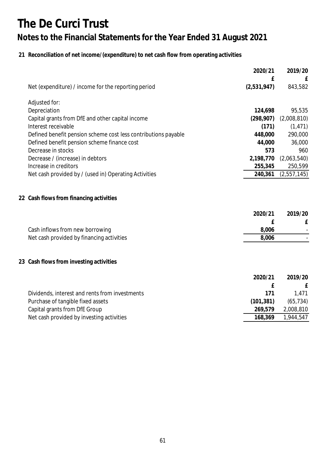## **21 Reconciliation of net income/(expenditure) to net cash flow from operating activities**

|                                                                | 2020/21<br>£ | 2019/20<br>£ |
|----------------------------------------------------------------|--------------|--------------|
| Net (expenditure) / income for the reporting period            | (2,531,947)  | 843,582      |
| Adjusted for:                                                  |              |              |
| Depreciation                                                   | 124,698      | 95,535       |
| Capital grants from DfE and other capital income               | (298, 907)   | (2,008,810)  |
| Interest receivable                                            | (171)        | (1, 471)     |
| Defined benefit pension scheme cost less contributions payable | 448,000      | 290,000      |
| Defined benefit pension scheme finance cost                    | 44,000       | 36,000       |
| Decrease in stocks                                             | 573          | 960          |
| Decrease / (increase) in debtors                               | 2,198,770    | (2,063,540)  |
| Increase in creditors                                          | 255,345      | 250,599      |
| Net cash provided by / (used in) Operating Activities          | 240,361      | (2,557,145)  |
| 22 Cash flows from financing activities                        |              |              |
|                                                                | 2020/21      | 2019/20      |
|                                                                | f            | £            |
| Cash inflows from new borrowing                                | 8,006        |              |
| Net cash provided by financing activities                      | 8,006        |              |
| 23 Cash flows from investing activities                        |              |              |
|                                                                | 2020/21      | 2019/20      |
|                                                                | £            | £            |
| Dividends, interest and rents from investments                 | 171          | 1,471        |
| Purchase of tangible fixed assets                              | (101, 381)   | (65, 734)    |
| Capital grants from DfE Group                                  | 269,579      | 2,008,810    |
| Net cash provided by investing activities                      | 168,369      | 1,944,547    |
|                                                                |              |              |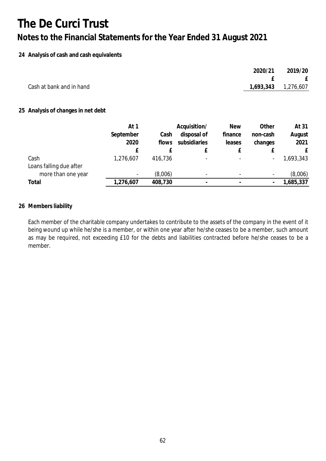### **24 Analysis of cash and cash equivalents**

|                          | 2020/21               | 2019/20 |
|--------------------------|-----------------------|---------|
|                          |                       | E       |
| Cash at bank and in hand | 1,693,343   1,276,607 |         |
|                          |                       |         |

### **25 Analysis of changes in net debt**

|                         | At 1                     |         | Acquisition/             | <b>New</b>               | Other                    | At 31     |
|-------------------------|--------------------------|---------|--------------------------|--------------------------|--------------------------|-----------|
|                         | September                | Cash    | disposal of              | finance                  | non-cash                 | August    |
|                         | 2020                     | flows   | subsidiaries             | leases                   | changes                  | 2021      |
|                         |                          |         |                          |                          |                          |           |
| Cash                    | 1,276,607                | 416,736 | $\overline{\phantom{0}}$ | $\overline{\phantom{a}}$ | $\overline{\phantom{a}}$ | 1,693,343 |
| Loans falling due after |                          |         |                          |                          |                          |           |
| more than one year      | $\overline{\phantom{a}}$ | (8,006) | $\overline{\phantom{0}}$ | $\overline{\phantom{a}}$ | $\overline{\phantom{a}}$ | (8,006)   |
| Total                   | 1,276,607                | 408,730 |                          |                          |                          | ,685,337  |

### **26 Members liability**

Each member of the charitable company undertakes to contribute to the assets of the company in the event of it being wound up while he/she is a member, or within one year after he/she ceases to be a member, such amount as may be required, not exceeding £10 for the debts and liabilities contracted before he/she ceases to be a member.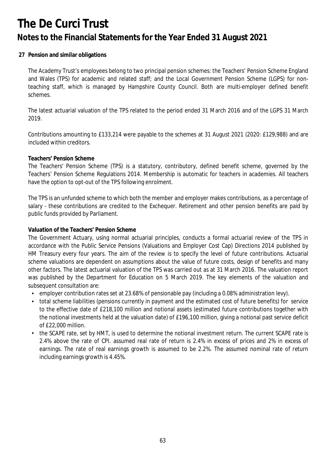### **27 Pension and similar obligations**

The Academy Trust's employees belong to two principal pension schemes: the Teachers' Pension Scheme England and Wales (TPS) for academic and related staff; and the Local Government Pension Scheme (LGPS) for nonteaching staff, which is managed by Hampshire County Council. Both are multi-employer defined benefit schemes.

The latest actuarial valuation of the TPS related to the period ended 31 March 2016 and of the LGPS 31 March 2019.

Contributions amounting to £133,214 were payable to the schemes at 31 August 2021 (2020: £129,988) and are included within creditors.

#### **Teachers' Pension Scheme**

The Teachers' Pension Scheme (TPS) is a statutory, contributory, defined benefit scheme, governed by the Teachers' Pension Scheme Regulations 2014. Membership is automatic for teachers in academies. All teachers have the option to opt-out of the TPS following enrolment.

The TPS is an unfunded scheme to which both the member and employer makes contributions, as a percentage of salary - these contributions are credited to the Exchequer. Retirement and other pension benefits are paid by public funds provided by Parliament.

**Valuation of the Teachers' Pension Scheme**

The Government Actuary, using normal actuarial principles, conducts a formal actuarial review of the TPS in accordance with the Public Service Pensions (Valuations and Employer Cost Cap) Directions 2014 published by HM Treasury every four years. The aim of the review is to specify the level of future contributions. Actuarial scheme valuations are dependent on assumptions about the value of future costs, design of benefits and many other factors. The latest actuarial valuation of the TPS was carried out as at 31 March 2016. The valuation report was published by the Department for Education on 5 March 2019. The key elements of the valuation and subsequent consultation are:

- employer contribution rates set at 23.68% of pensionable pay (including a 0.08% administration levy).
- total scheme liabilities (pensions currently in payment and the estimated cost of future benefits) for service to the effective date of £218,100 million and notional assets (estimated future contributions together with the notional investments held at the valuation date) of £196,100 million, giving a notional past service deficit of £22,000 million.
- the SCAPE rate, set by HMT, is used to determine the notional investment return. The current SCAPE rate is 2.4% above the rate of CPI. assumed real rate of return is 2.4% in excess of prices and 2% in excess of earnings. The rate of real earnings growth is assumed to be 2.2%. The assumed nominal rate of return including earnings growth is 4.45%.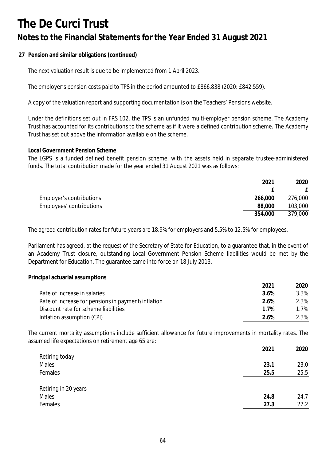**27 Pension and similar obligations (continued)**

The next valuation result is due to be implemented from 1 April 2023.

The employer's pension costs paid to TPS in the period amounted to £866,838 (2020: £842,559).

A copy of the valuation report and supporting documentation is on the Teachers' Pensions website.

Under the definitions set out in FRS 102, the TPS is an unfunded multi-employer pension scheme. The Academy Trust has accounted for its contributions to the scheme as if it were a defined contribution scheme. The Academy Trust has set out above the information available on the scheme.

### **Local Government Pension Scheme**

The LGPS is a funded defined benefit pension scheme, with the assets held in separate trustee-administered funds. The total contribution made for the year ended 31 August 2021 was as follows:

|                          | 2021    | 2020    |
|--------------------------|---------|---------|
|                          |         |         |
| Employer's contributions | 266,000 | 276,000 |
| Employees' contributions | 88,000  | 103,000 |
|                          | 354,000 | 379,000 |

The agreed contribution rates for future years are 18.9% for employers and 5.5% to 12.5% for employees.

Parliament has agreed, at the request of the Secretary of State for Education, to a guarantee that, in the event of an Academy Trust closure, outstanding Local Government Pension Scheme liabilities would be met by the Department for Education. The guarantee came into force on 18 July 2013.

**Principal actuarial assumptions**

|                                                    | 2021 | 2020 |
|----------------------------------------------------|------|------|
| Rate of increase in salaries                       | 3.6% | 3.3% |
| Rate of increase for pensions in payment/inflation | 2.6% | 2.3% |
| Discount rate for scheme liabilities               | 1 7% | 1.7% |
| Inflation assumption (CPI)                         | 2 6% | 2.3% |

The current mortality assumptions include sufficient allowance for future improvements in mortality rates. The assumed life expectations on retirement age 65 are:

|                      | 2021 | 2020 |
|----------------------|------|------|
| Retiring today       |      |      |
| Males                | 23.1 | 23.0 |
| Females              | 25.5 | 25.5 |
|                      |      |      |
| Retiring in 20 years |      |      |
| Males                | 24.8 | 24.7 |
| Females              | 27.3 | 27.2 |
|                      |      |      |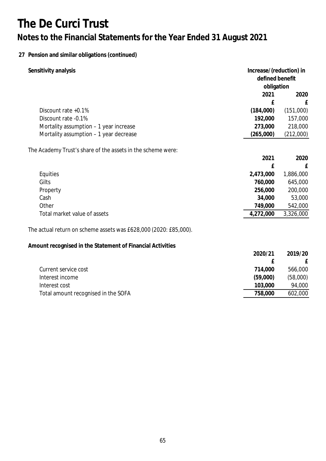## **27 Pension and similar obligations (continued)**

| Sensitivity analysis                                             |           | Increase/(reduction) in<br>defined benefit<br>obligation |  |
|------------------------------------------------------------------|-----------|----------------------------------------------------------|--|
|                                                                  |           |                                                          |  |
|                                                                  | 2021      | 2020                                                     |  |
|                                                                  | £         | £                                                        |  |
| Discount rate +0.1%                                              | (184,000) | (151,000)                                                |  |
| Discount rate -0.1%                                              | 192,000   | 157,000                                                  |  |
| Mortality assumption - 1 year increase                           | 273,000   | 218,000                                                  |  |
| Mortality assumption - 1 year decrease                           | (265,000) | (212,000)                                                |  |
| The Academy Trust's share of the assets in the scheme were:      |           |                                                          |  |
|                                                                  | 2021      | 2020                                                     |  |
|                                                                  | £         | £                                                        |  |
| Equities                                                         | 2,473,000 | 1,886,000                                                |  |
| Gilts                                                            | 760,000   | 645,000                                                  |  |
| Property                                                         | 256,000   | 200,000                                                  |  |
| Cash                                                             | 34,000    | 53,000                                                   |  |
| Other                                                            | 749,000   | 542,000                                                  |  |
| Total market value of assets                                     | 4,272,000 | 3,326,000                                                |  |
| The actual return on scheme assets was £628,000 (2020: £85,000). |           |                                                          |  |
| Amount recognised in the Statement of Financial Activities       |           |                                                          |  |
|                                                                  | 2020/21   | 2019/20                                                  |  |
|                                                                  | £         | £                                                        |  |
| Current service cost                                             | 714,000   | 566,000                                                  |  |
| Interest income                                                  | (59,000)  | (58,000)                                                 |  |
| Interest cost                                                    | 103,000   | 94,000                                                   |  |
| Total amount recognised in the SOFA                              | 758,000   | 602,000                                                  |  |